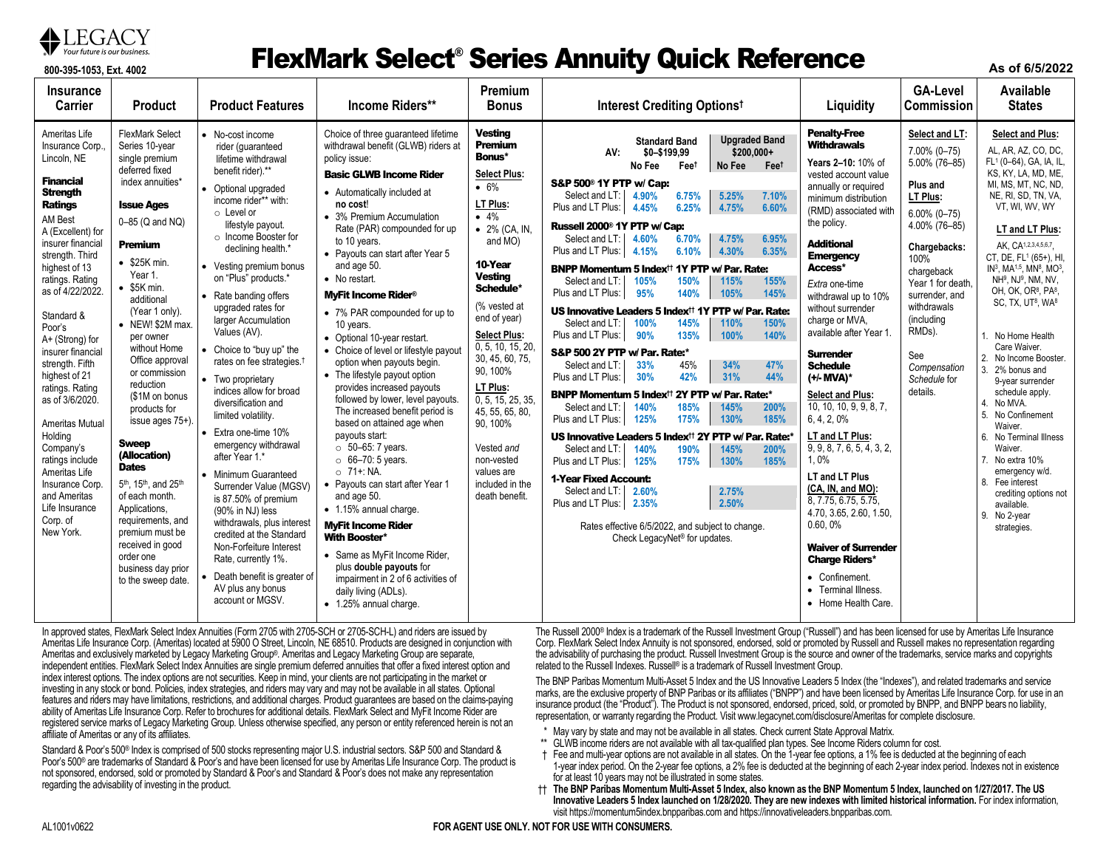

# **87** Your future is our business. **ElexMark Select® Series Annuity Quick Reference**

**As of 6/5/2022**

| <b>Insurance</b><br><b>Carrier</b>                                                                                                                                                                                                                                                                                                                                                                                                                                                                                                              | <b>Product</b>                                                                                                                                                                                                                                                                                                                                                                                                                                                                                                                                                                                                                                                          | <b>Product Features</b>                                                                                                                                                                                                                                                                                                                                                                                                                                                                                                                                                                                                                                                                                                                                                                                                                                                   | Income Riders**                                                                                                                                                                                                                                                                                                                                                                                                                                                                                                                                                                                                                                                                                                                                                                                                                                                                                                                                                                                                                                                               | Premium<br><b>Bonus</b>                                                                                                                                                                                                                                                                                                                                                                                                        | Interest Crediting Optionst                                                                                                                                                                                                                                                                                                                                                                                                                                                                                                                                                                                                                                                                                                                                                                                                                                                                                                                                                                                                                                                                                                                                                                                                                                                                                                                                                                                                                                                         | Liquidity                                                                                                                                                                                                                                                                                                                                                                                                                                                                                                                                                                                                                                                                                                                                                                       | <b>GA-Level</b><br><b>Commission</b>                                                                                                                                                                                                                                              | Available<br><b>States</b>                                                                                                                                                                                                                                                                                                                                                                                                                                                                                                                                                                                                                                                                                                                                                                                                             |
|-------------------------------------------------------------------------------------------------------------------------------------------------------------------------------------------------------------------------------------------------------------------------------------------------------------------------------------------------------------------------------------------------------------------------------------------------------------------------------------------------------------------------------------------------|-------------------------------------------------------------------------------------------------------------------------------------------------------------------------------------------------------------------------------------------------------------------------------------------------------------------------------------------------------------------------------------------------------------------------------------------------------------------------------------------------------------------------------------------------------------------------------------------------------------------------------------------------------------------------|---------------------------------------------------------------------------------------------------------------------------------------------------------------------------------------------------------------------------------------------------------------------------------------------------------------------------------------------------------------------------------------------------------------------------------------------------------------------------------------------------------------------------------------------------------------------------------------------------------------------------------------------------------------------------------------------------------------------------------------------------------------------------------------------------------------------------------------------------------------------------|-------------------------------------------------------------------------------------------------------------------------------------------------------------------------------------------------------------------------------------------------------------------------------------------------------------------------------------------------------------------------------------------------------------------------------------------------------------------------------------------------------------------------------------------------------------------------------------------------------------------------------------------------------------------------------------------------------------------------------------------------------------------------------------------------------------------------------------------------------------------------------------------------------------------------------------------------------------------------------------------------------------------------------------------------------------------------------|--------------------------------------------------------------------------------------------------------------------------------------------------------------------------------------------------------------------------------------------------------------------------------------------------------------------------------------------------------------------------------------------------------------------------------|-------------------------------------------------------------------------------------------------------------------------------------------------------------------------------------------------------------------------------------------------------------------------------------------------------------------------------------------------------------------------------------------------------------------------------------------------------------------------------------------------------------------------------------------------------------------------------------------------------------------------------------------------------------------------------------------------------------------------------------------------------------------------------------------------------------------------------------------------------------------------------------------------------------------------------------------------------------------------------------------------------------------------------------------------------------------------------------------------------------------------------------------------------------------------------------------------------------------------------------------------------------------------------------------------------------------------------------------------------------------------------------------------------------------------------------------------------------------------------------|---------------------------------------------------------------------------------------------------------------------------------------------------------------------------------------------------------------------------------------------------------------------------------------------------------------------------------------------------------------------------------------------------------------------------------------------------------------------------------------------------------------------------------------------------------------------------------------------------------------------------------------------------------------------------------------------------------------------------------------------------------------------------------|-----------------------------------------------------------------------------------------------------------------------------------------------------------------------------------------------------------------------------------------------------------------------------------|----------------------------------------------------------------------------------------------------------------------------------------------------------------------------------------------------------------------------------------------------------------------------------------------------------------------------------------------------------------------------------------------------------------------------------------------------------------------------------------------------------------------------------------------------------------------------------------------------------------------------------------------------------------------------------------------------------------------------------------------------------------------------------------------------------------------------------------|
| Ameritas Life<br>Insurance Corp.<br>Lincoln, NE<br><b>Financial</b><br><b>Strength</b><br><b>Ratings</b><br>AM Best<br>A (Excellent) for<br>insurer financial<br>strength. Third<br>highest of 13<br>ratings. Rating<br>as of 4/22/2022.<br>Standard &<br>Poor's<br>A+ (Strong) for<br>insurer financial<br>strength. Fifth<br>highest of 21<br>ratings. Rating<br>as of 3/6/2020.<br>Ameritas Mutual<br>Holding<br>Company's<br>ratings include<br>Ameritas Life<br>Insurance Corp.<br>and Ameritas<br>Life Insurance<br>Corp. of<br>New York. | <b>FlexMark Select</b><br>Series 10-year<br>single premium<br>deferred fixed<br>index annuities*<br><b>Issue Ages</b><br>0-85 (Q and NQ)<br><b>Premium</b><br>$\bullet$ \$25K min.<br>Year 1.<br>\$5K min.<br>additional<br>(Year 1 only).<br>• NEW! \$2M max.<br>per owner<br>without Home<br>Office approval<br>or commission<br>reduction<br>(\$1M on bonus<br>products for<br>issue ages 75+).<br><b>Sweep</b><br>(Allocation)<br><b>Dates</b><br>5 <sup>th</sup> , 15 <sup>th</sup> , and 25 <sup>th</sup><br>of each month.<br>Applications,<br>requirements, and<br>premium must be<br>received in good<br>order one<br>business day prior<br>to the sweep date. | • No-cost income<br>rider (quaranteed<br>lifetime withdrawal<br>benefit rider).**<br>Optional upgraded<br>income rider** with:<br>o Level or<br>lifestyle payout.<br>o Income Booster for<br>declining health.*<br>• Vesting premium bonus<br>on "Plus" products.*<br>Rate banding offers<br>upgraded rates for<br>larger Accumulation<br>Values (AV).<br>Choice to "buy up" the<br>rates on fee strategies. <sup>†</sup><br>• Two proprietary<br>indices allow for broad<br>diversification and<br>limited volatility.<br>Extra one-time 10%<br>emergency withdrawal<br>after Year 1.*<br>• Minimum Guaranteed<br>Surrender Value (MGSV)<br>is 87.50% of premium<br>(90% in NJ) less<br>withdrawals, plus interest<br>credited at the Standard<br>Non-Forfeiture Interest<br>Rate, currently 1%.<br>Death benefit is greater of<br>AV plus any bonus<br>account or MGSV. | Choice of three quaranteed lifetime<br>withdrawal benefit (GLWB) riders at<br>policy issue:<br><b>Basic GLWB Income Rider</b><br>• Automatically included at<br>no cost!<br>• 3% Premium Accumulation<br>Rate (PAR) compounded for up<br>to 10 years.<br>• Payouts can start after Year 5<br>and age 50.<br>• No restart.<br><b>MvFit Income Rider<sup>®</sup></b><br>• 7% PAR compounded for up to<br>10 years.<br>• Optional 10-year restart.<br>• Choice of level or lifestyle payout<br>option when payouts begin.<br>• The lifestyle payout option<br>provides increased payouts<br>followed by lower, level payouts.<br>The increased benefit period is<br>based on attained age when<br>payouts start:<br>$\circ$ 50-65: 7 years.<br>$\circ$ 66-70: 5 years.<br>$\circ$ 71+: NA.<br>• Payouts can start after Year 1<br>and age 50.<br>• 1.15% annual charge.<br><b>MyFit Income Rider</b><br><b>With Booster*</b><br>• Same as MyFit Income Rider,<br>plus double payouts for<br>impairment in 2 of 6 activities of<br>daily living (ADLs).<br>• 1.25% annual charge. | <b>Vesting</b><br>Premium<br>Bonus*<br><b>Select Plus:</b><br>• 6%<br>LT Plus:<br>$-4%$<br>$\bullet$ 2% (CA, IN,<br>and MO)<br>10-Year<br><b>Vesting</b><br>Schedule*<br>(% vested at<br>end of year)<br><b>Select Plus:</b><br>0, 5, 10, 15, 20,<br>30, 45, 60, 75,<br>90, 100%<br>LT Plus:<br>0, 5, 15, 25, 35,<br>45, 55, 65, 80,<br>90.100%<br>Vested and<br>non-vested<br>values are<br>included in the<br>death benefit. | <b>Upgraded Band</b><br><b>Standard Band</b><br>$$200.000+$<br>AV:<br>\$0-\$199,99<br>No Fee<br>No Fee<br>Feet<br>Fee <sup>t</sup><br>S&P 500 <sup>®</sup> 1Y PTP w/ Cap:<br>5.25%<br>Select and LT:<br>4.90%<br>6.75%<br>7.10%<br>Plus and LT Plus:<br>4.45%<br>6.25%<br>4.75%<br>6.60%<br>Russell 2000 <sup>®</sup> 1Y PTP w/ Cap:<br>Select and LT:<br>4.60%<br>6.70%<br>4.75%<br>6.95%<br>Plus and LT Plus:<br>4.15%<br>6.10%<br>4.30%<br>6.35%<br>BNPP Momentum 5 Index <sup>11</sup> 1Y PTP w/ Par. Rate:<br>Select and LT:<br>150%<br>155%<br>105%<br>115%<br>Plus and LT Plus:<br>95%<br>140%<br>105%<br>145%<br>US Innovative Leaders 5 Index <sup>††</sup> 1Y PTP w/ Par. Rate:<br>Select and LT:<br>100%<br>145%<br>110%<br>150%<br>135%<br>100%<br>Plus and LT Plus:<br>90%<br>140%<br>S&P 500 2Y PTP w/ Par. Rate:*<br>34%<br>47%<br>33%<br>45%<br>Select and LT:<br>Plus and LT Plus:<br>42%<br>31%<br>44%<br>30%<br>BNPP Momentum 5 Index <sup>††</sup> 2Y PTP w/ Par. Rate:*<br>Select and LT:<br>140%<br>185%<br>145%<br>200%<br>185%<br>Plus and LT Plus:<br>125%<br>175%<br>130%<br>US Innovative Leaders 5 Index <sup>††</sup> 2Y PTP w/ Par. Rate:<br>Select and LT:<br>140%<br>190%<br>145%<br>200%<br>Plus and LT Plus:<br>125%<br>175%<br>130%<br>185%<br>1-Year Fixed Account:<br>Select and LT:<br>2.60%<br>2.75%<br>Plus and LT Plus:<br>2.35%<br>2.50%<br>Rates effective 6/5/2022, and subject to change.<br>Check LegacyNet <sup>®</sup> for updates. | <b>Penalty-Free</b><br><b>Withdrawals</b><br>Years 2-10: 10% of<br>vested account value<br>annually or required<br>minimum distribution<br>(RMD) associated with<br>the policy.<br><b>Additional</b><br><b>Emergency</b><br>Access*<br>Extra one-time<br>withdrawal up to 10%<br>without surrender<br>charge or MVA,<br>available after Year 1<br><b>Surrender</b><br><b>Schedule</b><br>(+/- MVA)*<br><b>Select and Plus:</b><br>10, 10, 10, 9, 9, 8, 7,<br>6, 4, 2, 0%<br><b>LT and LT Plus:</b><br>9, 9, 8, 7, 6, 5, 4, 3, 2,<br>1.0%<br><b>LT and LT Plus</b><br>(CA, IN, and MO):<br>8, 7.75, 6.75, 5.75,<br>4.70, 3.65, 2.60, 1.50,<br>$0.60, 0\%$<br><b>Waiver of Surrender</b><br><b>Charge Riders*</b><br>• Confinement.<br>• Terminal Illness.<br>• Home Health Care. | Select and LT:<br>7.00% (0-75)<br>5.00% (76-85)<br>Plus and<br>LT Plus:<br>$6.00\%$ (0-75)<br>4.00% (76-85)<br>Chargebacks:<br>100%<br>chargeback<br>Year 1 for death<br>surrender, and<br>withdrawals<br>(including<br>RMDs).<br>See<br>Compensation<br>Schedule for<br>details. | <b>Select and Plus:</b><br>AL, AR, AZ, CO, DC,<br>FL <sup>1</sup> (0-64), GA, IA, IL<br>KS, KY, LA, MD, ME,<br>MI, MS, MT, NC, ND.<br>NE, RI, SD, TN, VA,<br>VT, WI, WV, WY<br>LT and LT Plus:<br>AK. CA <sup>1,2,3,4,5,6,7</sup> .<br>CT. DE. FL <sup>1</sup> (65+). HI.<br>IN <sup>3</sup> , MA <sup>1,5</sup> , MN <sup>8</sup> , MO <sup>3</sup> ,<br>NH <sup>9</sup> , NJ <sup>9</sup> , NM, NV,<br>OH, OK, OR <sup>8</sup> , PA <sup>8</sup> ,<br>SC, TX, UT <sup>8</sup> , WA <sup>8</sup><br>1. No Home Health<br>Care Waiver.<br>2. No Income Booster.<br>2% bonus and<br>9-year surrender<br>schedule apply.<br>No MVA.<br>No Confinement<br>5<br>Waiver.<br>6. No Terminal Illness<br>Waiver.<br>7. No extra 10%<br>emergency w/d.<br>8. Fee interest<br>crediting options not<br>available.<br>9. No 2-year<br>strategies. |

In approved states, FlexMark Select Index Annuities (Form 2705 with 2705-SCH or 2705-SCH-L) and riders are issued by Ameritas Life Insurance Corp. (Ameritas) located at 5900 O Street, Lincoln, NE 68510. Products are designed in conjunction with Ameritas and exclusively marketed by Legacy Marketing Group®. Ameritas and Legacy Marketing Group are separate, independent entities. FlexMark Select Index Annuities are single premium deferred annuities that offer a fixed interest option and index interest options. The index options are not securities. Keep in mind, your clients are not participating in the market or investing in any stock or bond. Policies, index strategies, and riders may vary and may not be available in all states. Optional features and riders may have limitations, restrictions, and additional charges. Product guarantees are based on the claims-paying ability of Ameritas Life Insurance Corp. Refer to brochures for additional details. FlexMark Select and MyFit Income Rider are registered service marks of Legacy Marketing Group. Unless otherwise specified, any person or entity referenced herein is not an affiliate of Ameritas or any of its affiliates.

Standard & Poor's 500® Index is comprised of 500 stocks representing major U.S. industrial sectors. S&P 500 and Standard & Poor's 500® are trademarks of Standard & Poor's and have been licensed for use by Ameritas Life Insurance Corp. The product is not sponsored, endorsed, sold or promoted by Standard & Poor's and Standard & Poor's does not make any representation regarding the advisability of investing in the product.

The Russell 2000® Index is a trademark of the Russell Investment Group ("Russell") and has been licensed for use by Ameritas Life Insurance Corp. FlexMark Select Index Annuity is not sponsored, endorsed, sold or promoted by Russell and Russell makes no representation regarding the advisability of purchasing the product. Russell Investment Group is the source and owner of the trademarks, service marks and copyrights related to the Russell Indexes. Russell® is a trademark of Russell Investment Group.

The BNP Paribas Momentum Multi-Asset 5 Index and the US Innovative Leaders 5 Index (the "Indexes"), and related trademarks and service marks, are the exclusive property of BNP Paribas or its affiliates ("BNPP") and have been licensed by Ameritas Life Insurance Corp. for use in an insurance product (the "Product"). The Product is not sponsored, endorsed, priced, sold, or promoted by BNPP, and BNPP bears no liability, representation, or warranty regarding the Product. Visit www.legacynet.com/disclosure/Ameritas for complete disclosure.

- May vary by state and may not be available in all states. Check current State Approval Matrix.
- \*\* GLWB income riders are not available with all tax-qualified plan types. See Income Riders column for cost.
- † Fee and multi-year options are not available in all states. On the 1-year fee options, a 1% fee is deducted at the beginning of each 1-year index period. On the 2-year fee options, a 2% fee is deducted at the beginning of each 2-year index period. Indexes not in existence for at least 10 years may not be illustrated in some states.
- †† **The BNP Paribas Momentum Multi-Asset 5 Index, also known as the BNP Momentum 5 Index, launched on 1/27/2017. The US Innovative Leaders 5 Index launched on 1/28/2020. They are new indexes with limited historical information.** For index information, visit https://momentum5index.bnpparibas.com an[d https://innovativeleaders.bnpparibas.com.](https://innovativeleaders.bnpparibas.com/)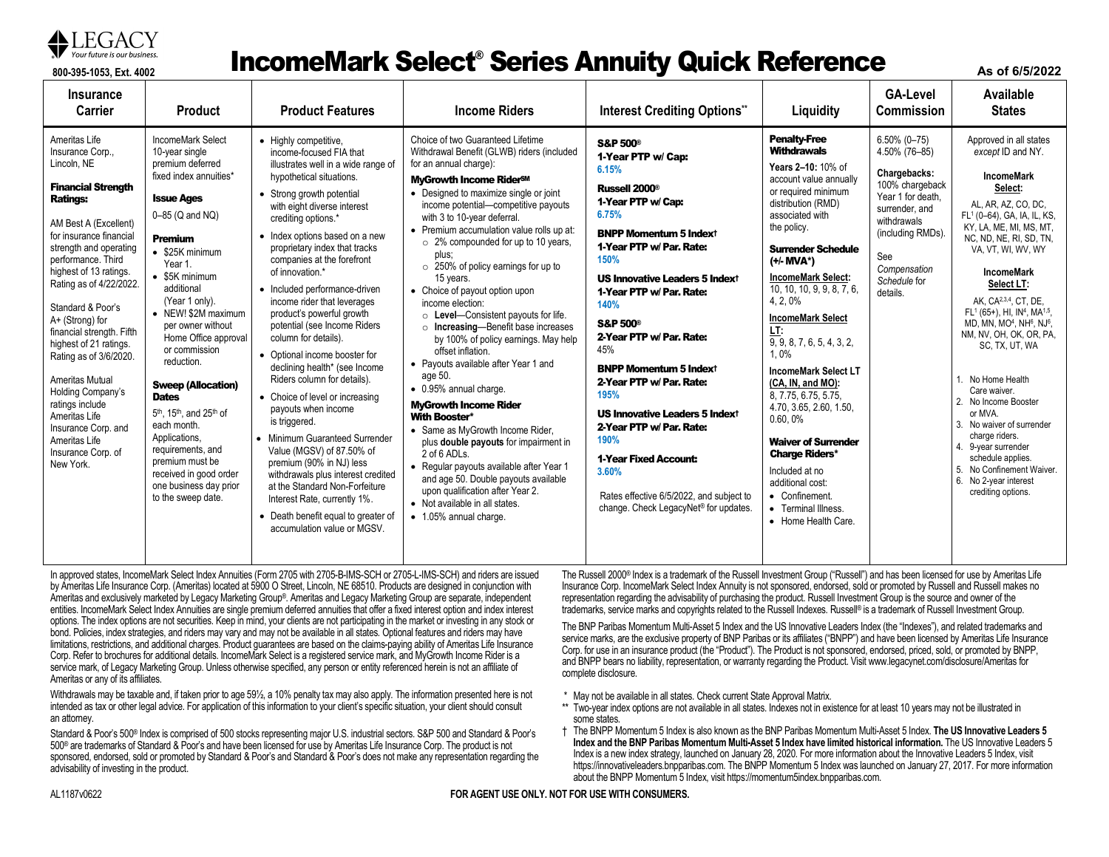

### **87** Your future is our business. **Experience incomeMark Select® Series Annuity Quick Reference**

**As of 6/5/2022**

| <b>Insurance</b><br>Carrier                                                                                                                                                                                                                                                                                                                                                                                                                                                                                                                      | <b>Product</b>                                                                                                                                                                                                                                                                                                                                                                                                                                                                                                                                                                                                | <b>Product Features</b>                                                                                                                                                                                                                                                                                                                                                                                                                                                                                                                                                                                                                                                                                                                                                                                                                                                                                                              | <b>Income Riders</b>                                                                                                                                                                                                                                                                                                                                                                                                                                                                                                                                                                                                                                                                                                                                                                                                                                                                                                                                                                                                                                          | <b>Interest Crediting Options*</b>                                                                                                                                                                                                                                                                                                                                                                                                                                                                                                                                                                                    | Liquidity                                                                                                                                                                                                                                                                                                                                                                                                                                                                                                                                                                                                                                                      | <b>GA-Level</b><br><b>Commission</b>                                                                                                                                                              | Available<br><b>States</b>                                                                                                                                                                                                                                                                                                                                                                                                                                                                                                                                                                                                                                                                                                      |
|--------------------------------------------------------------------------------------------------------------------------------------------------------------------------------------------------------------------------------------------------------------------------------------------------------------------------------------------------------------------------------------------------------------------------------------------------------------------------------------------------------------------------------------------------|---------------------------------------------------------------------------------------------------------------------------------------------------------------------------------------------------------------------------------------------------------------------------------------------------------------------------------------------------------------------------------------------------------------------------------------------------------------------------------------------------------------------------------------------------------------------------------------------------------------|--------------------------------------------------------------------------------------------------------------------------------------------------------------------------------------------------------------------------------------------------------------------------------------------------------------------------------------------------------------------------------------------------------------------------------------------------------------------------------------------------------------------------------------------------------------------------------------------------------------------------------------------------------------------------------------------------------------------------------------------------------------------------------------------------------------------------------------------------------------------------------------------------------------------------------------|---------------------------------------------------------------------------------------------------------------------------------------------------------------------------------------------------------------------------------------------------------------------------------------------------------------------------------------------------------------------------------------------------------------------------------------------------------------------------------------------------------------------------------------------------------------------------------------------------------------------------------------------------------------------------------------------------------------------------------------------------------------------------------------------------------------------------------------------------------------------------------------------------------------------------------------------------------------------------------------------------------------------------------------------------------------|-----------------------------------------------------------------------------------------------------------------------------------------------------------------------------------------------------------------------------------------------------------------------------------------------------------------------------------------------------------------------------------------------------------------------------------------------------------------------------------------------------------------------------------------------------------------------------------------------------------------------|----------------------------------------------------------------------------------------------------------------------------------------------------------------------------------------------------------------------------------------------------------------------------------------------------------------------------------------------------------------------------------------------------------------------------------------------------------------------------------------------------------------------------------------------------------------------------------------------------------------------------------------------------------------|---------------------------------------------------------------------------------------------------------------------------------------------------------------------------------------------------|---------------------------------------------------------------------------------------------------------------------------------------------------------------------------------------------------------------------------------------------------------------------------------------------------------------------------------------------------------------------------------------------------------------------------------------------------------------------------------------------------------------------------------------------------------------------------------------------------------------------------------------------------------------------------------------------------------------------------------|
| Ameritas Life<br>Insurance Corp.,<br>Lincoln, NE<br><b>Financial Strength</b><br><b>Ratings:</b><br>AM Best A (Excellent)<br>for insurance financial<br>strength and operating<br>performance. Third<br>highest of 13 ratings.<br>Rating as of 4/22/2022.<br>Standard & Poor's<br>A+ (Strong) for<br>financial strength. Fifth<br>highest of 21 ratings.<br>Rating as of 3/6/2020.<br><b>Ameritas Mutual</b><br>Holding Company's<br>ratings include<br>Ameritas Life<br>Insurance Corp. and<br>Ameritas Life<br>Insurance Corp. of<br>New York. | IncomeMark Select<br>10-year single<br>premium deferred<br>fixed index annuities*<br><b>Issue Ages</b><br>0-85 (Q and NQ)<br><b>Premium</b><br>$\bullet$ \$25K minimum<br>Year 1.<br>$\bullet$ \$5K minimum<br>additional<br>(Year 1 only).<br>• NEW! \$2M maximum<br>per owner without<br>Home Office approval<br>or commission<br>reduction.<br><b>Sweep (Allocation)</b><br><b>Dates</b><br>5 <sup>th</sup> , 15 <sup>th</sup> , and 25 <sup>th</sup> of<br>each month.<br>Applications,<br>requirements, and<br>premium must be<br>received in good order<br>one business day prior<br>to the sweep date. | • Highly competitive,<br>income-focused FIA that<br>illustrates well in a wide range of<br>hypothetical situations.<br>• Strong growth potential<br>with eight diverse interest<br>crediting options.*<br>• Index options based on a new<br>proprietary index that tracks<br>companies at the forefront<br>of innovation.*<br>• Included performance-driven<br>income rider that leverages<br>product's powerful growth<br>potential (see Income Riders<br>column for details).<br>• Optional income booster for<br>declining health* (see Income<br>Riders column for details).<br>• Choice of level or increasing<br>payouts when income<br>is triggered.<br>• Minimum Guaranteed Surrender<br>Value (MGSV) of 87.50% of<br>premium (90% in NJ) less<br>withdrawals plus interest credited<br>at the Standard Non-Forfeiture<br>Interest Rate, currently 1%.<br>• Death benefit equal to greater of<br>accumulation value or MGSV. | Choice of two Guaranteed Lifetime<br>Withdrawal Benefit (GLWB) riders (included<br>for an annual charge):<br><b>MyGrowth Income RiderSM</b><br>• Designed to maximize single or joint<br>income potential-competitive payouts<br>with 3 to 10-year deferral.<br>• Premium accumulation value rolls up at:<br>$\circ$ 2% compounded for up to 10 years,<br>plus:<br>$\circ$ 250% of policy earnings for up to<br>15 years.<br>• Choice of payout option upon<br>income election:<br>$\circ$ Level-Consistent payouts for life.<br>$\circ$ Increasing-Benefit base increases<br>by 100% of policy earnings. May help<br>offset inflation.<br>• Payouts available after Year 1 and<br>age 50.<br>• 0.95% annual charge.<br><b>MyGrowth Income Rider</b><br><b>With Booster*</b><br>• Same as MyGrowth Income Rider,<br>plus double payouts for impairment in<br>2 of 6 ADLs.<br>• Reqular payouts available after Year 1<br>and age 50. Double payouts available<br>upon qualification after Year 2.<br>• Not available in all states.<br>• 1.05% annual charge. | <b>S&amp;P 500®</b><br>1-Year PTP w/ Cap:<br>6.15%<br>Russell 2000 <sup>®</sup><br>1-Year PTP w/ Cap:<br>6.75%<br><b>BNPP Momentum 5 Indext</b><br>1-Year PTP w/ Par. Rate:<br>150%<br><b>US Innovative Leaders 5 Indext</b><br>1-Year PTP w/ Par. Rate:<br>140%<br><b>S&amp;P 500®</b><br>2-Year PTP w/Par. Rate:<br>45%<br><b>BNPP Momentum 5 Indext</b><br>2-Year PTP w/ Par. Rate:<br>195%<br><b>US Innovative Leaders 5 Indext</b><br>2-Year PTP w/ Par. Rate:<br>190%<br><b>1-Year Fixed Account:</b><br>3.60%<br>Rates effective 6/5/2022, and subject to<br>change. Check LegacyNet <sup>®</sup> for updates. | <b>Penalty-Free</b><br><b>Withdrawals</b><br>Years 2-10: 10% of<br>account value annually<br>or required minimum<br>distribution (RMD)<br>associated with<br>the policy.<br><b>Surrender Schedule</b><br>(+/- MVA*)<br><b>IncomeMark Select:</b><br>10, 10, 10, 9, 9, 8, 7, 6,<br>4, 2, 0%<br><b>IncomeMark Select</b><br>LT:<br>$\overline{9, 9, 8, 7, 6, 5, 4, 3, 2}$<br>1.0%<br><b>IncomeMark Select LT</b><br>(CA, IN, and MO):<br>8, 7.75, 6.75, 5.75,<br>4.70, 3.65, 2.60, 1.50,<br>0.60.0%<br><b>Waiver of Surrender</b><br><b>Charge Riders*</b><br>Included at no<br>additional cost:<br>• Confinement.<br>• Terminal Illness.<br>• Home Health Care. | $6.50\%$ (0-75)<br>4.50% (76-85)<br>Chargebacks:<br>100% chargeback<br>Year 1 for death,<br>surrender, and<br>withdrawals<br>(including RMDs).<br>See<br>Compensation<br>Schedule for<br>details. | Approved in all states<br>except ID and NY.<br><b>IncomeMark</b><br>Select:<br>AL, AR, AZ, CO, DC,<br>FL <sup>1</sup> (0-64), GA, IA, IL, KS,<br>KY, LA, ME, MI, MS, MT,<br>NC. ND. NE. RI. SD. TN.<br>VA, VT, WI, WV, WY<br><b>IncomeMark</b><br>Select LT:<br>AK. CA <sup>2,3,4</sup> , CT. DE.<br>FL <sup>1</sup> (65+), HI, IN <sup>4</sup> , MA <sup>1,5</sup> ,<br>MD, MN, MO <sup>4</sup> , NH <sup>6</sup> , NJ <sup>6</sup> ,<br>NM, NV, OH, OK, OR, PA,<br>SC, TX, UT, WA<br>No Home Health<br>Care waiver.<br>2. No Income Booster<br>or MVA.<br>3. No waiver of surrender<br>charge riders.<br>4. 9-year surrender<br>schedule applies.<br>5. No Confinement Waiver.<br>6. No 2-year interest<br>crediting options. |

In approved states, IncomeMark Select Index Annuities (Form 2705 with 2705-B-IMS-SCH or 2705-L-IMS-SCH) and riders are issued by Ameritas Life Insurance Corp. (Ameritas) located at 5900 O Street, Lincoln, NE 68510. Products are designed in conjunction with Ameritas and exclusively marketed by Legacy Marketing Group®. Ameritas and Legacy Marketing Group are separate, independent entities. IncomeMark Select Index Annuities are single premium deferred annuities that offer a fixed interest option and index interest options. The index options are not securities. Keep in mind, your clients are not participating in the market or investing in any stock or bond. Policies, index strategies, and riders may vary and may not be available in all states. Optional features and riders may have limitations, restrictions, and additional charges. Product guarantees are based on the claims-paying ability of Ameritas Life Insurance Corp. Refer to brochures for additional details. IncomeMark Select is a registered service mark, and MyGrowth Income Rider is a service mark, of Legacy Marketing Group. Unless otherwise specified, any person or entity referenced herein is not an affiliate of Ameritas or any of its affiliates.

Withdrawals may be taxable and, if taken prior to age 59½, a 10% penalty tax may also apply. The information presented here is not intended as tax or other legal advice. For application of this information to your client's specific situation, your client should consult an attorney.

Standard & Poor's 500® Index is comprised of 500 stocks representing major U.S. industrial sectors. S&P 500 and Standard & Poor's 500® are trademarks of Standard & Poor's and have been licensed for use by Ameritas Life Insurance Corp. The product is not sponsored, endorsed, sold or promoted by Standard & Poor's and Standard & Poor's does not make any representation regarding the advisability of investing in the product.

The Russell 2000® Index is a trademark of the Russell Investment Group ("Russell") and has been licensed for use by Ameritas Life Insurance Corp. IncomeMark Select Index Annuity is not sponsored, endorsed, sold or promoted by Russell and Russell makes no representation regarding the advisability of purchasing the product. Russell Investment Group is the source and owner of the trademarks, service marks and copyrights related to the Russell Indexes. Russell® is a trademark of Russell Investment Group.

The BNP Paribas Momentum Multi-Asset 5 Index and the US Innovative Leaders Index (the "Indexes"), and related trademarks and service marks, are the exclusive property of BNP Paribas or its affiliates ("BNPP") and have been licensed by Ameritas Life Insurance Corp. for use in an insurance product (the "Product"). The Product is not sponsored, endorsed, priced, sold, or promoted by BNPP, and BNPP bears no liability, representation, or warranty regarding the Product. Visit www.legacynet.com/disclosure/Ameritas for complete disclosure.

- \* May not be available in all states. Check current State Approval Matrix.
- \*\* Two-year index options are not available in all states. Indexes not in existence for at least 10 years may not be illustrated in some states.
- † The BNPP Momentum 5 Index is also known as the BNP Paribas Momentum Multi-Asset 5 Index. **The US Innovative Leaders 5 Index and the BNP Paribas Momentum Multi-Asset 5 Index have limited historical information.** The US Innovative Leaders 5 Index is a new index strategy, launched on January 28, 2020. For more information about the Innovative Leaders 5 Index, visit [https://innovativeleaders.bnpparibas.com.](https://innovativeleaders.bnpparibas.com/) The BNPP Momentum 5 Index was launched on January 27, 2017. For more information about the BNPP Momentum 5 Index, visit https://momentum5index.bnpparibas.com.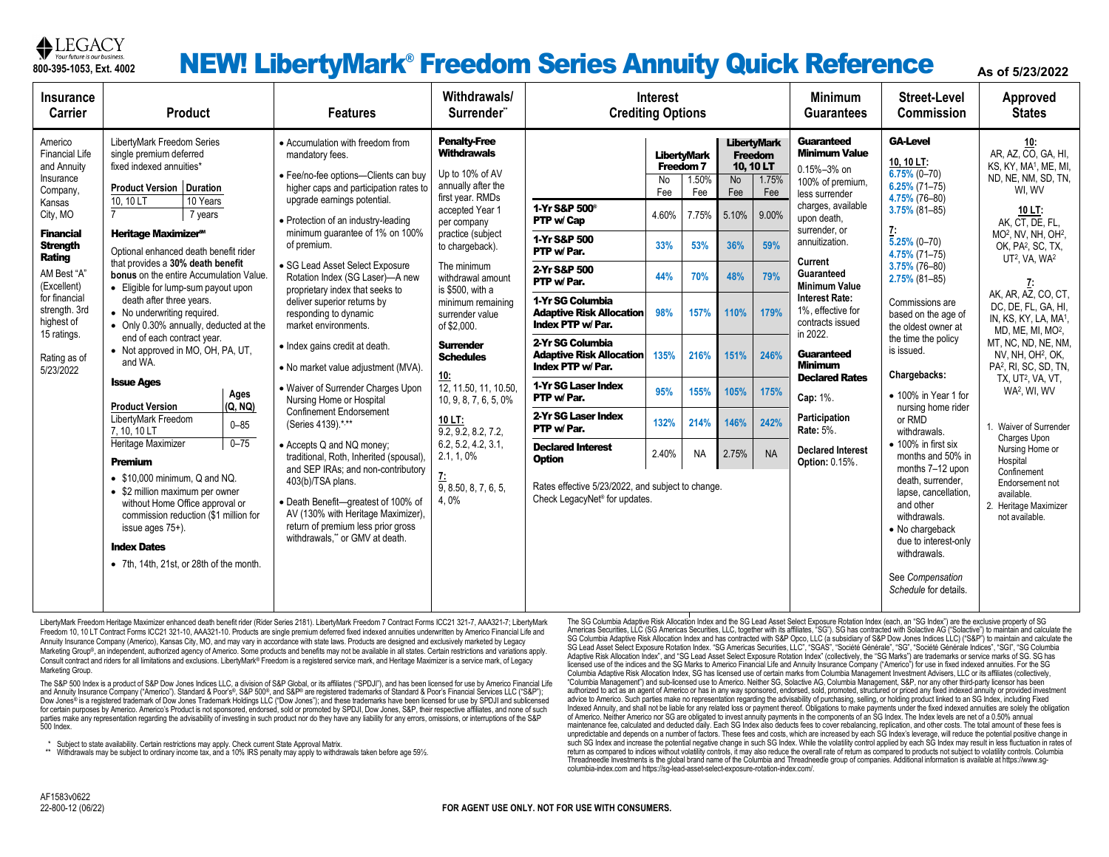

### **Reference** As of 5/23/2022 **REW! LibertyMark® Freedom Series Annuity Quick Reference** As of 5/23/2022

| <b>Insurance</b><br>Carrier                                                                                                                                                                                                                                               | <b>Product</b>                                                                                                                                                                                                                                                                                                                                                                                                                                                                                                                                                                                                                                                                                                                                                                                                                                                                                                                            |                                         | <b>Features</b>                                                                                                                                                                                                                                                                                                                                                                                                                                                                                                                                                                                                                                                                                                                                                                                                                                                                                                                                  | Withdrawals/<br>Surrender <sup>"</sup>                                                                                                                                                                                                                                                                                                                                                                                                                                                                         | <b>Interest</b><br><b>Crediting Options</b>                                                                                                                                                                                                                                                                                                                                                                                                                                |                                                                         |                                                                                                                     |                                                                                                          |                                                                                                        | <b>Minimum</b><br><b>Guarantees</b>                                                                                                                                                                                                                                                                                                                                                                                                                           | <b>Street-Level</b><br><b>Commission</b>                                                                                                                                                                                                                                                                                                                                                                                                                                                                                                                                                                                                               | Approved<br><b>States</b>                                                                                                                                                                                                                                                                                                                                                                                                                                                                                                                                                                                                                                                                                                      |
|---------------------------------------------------------------------------------------------------------------------------------------------------------------------------------------------------------------------------------------------------------------------------|-------------------------------------------------------------------------------------------------------------------------------------------------------------------------------------------------------------------------------------------------------------------------------------------------------------------------------------------------------------------------------------------------------------------------------------------------------------------------------------------------------------------------------------------------------------------------------------------------------------------------------------------------------------------------------------------------------------------------------------------------------------------------------------------------------------------------------------------------------------------------------------------------------------------------------------------|-----------------------------------------|--------------------------------------------------------------------------------------------------------------------------------------------------------------------------------------------------------------------------------------------------------------------------------------------------------------------------------------------------------------------------------------------------------------------------------------------------------------------------------------------------------------------------------------------------------------------------------------------------------------------------------------------------------------------------------------------------------------------------------------------------------------------------------------------------------------------------------------------------------------------------------------------------------------------------------------------------|----------------------------------------------------------------------------------------------------------------------------------------------------------------------------------------------------------------------------------------------------------------------------------------------------------------------------------------------------------------------------------------------------------------------------------------------------------------------------------------------------------------|----------------------------------------------------------------------------------------------------------------------------------------------------------------------------------------------------------------------------------------------------------------------------------------------------------------------------------------------------------------------------------------------------------------------------------------------------------------------------|-------------------------------------------------------------------------|---------------------------------------------------------------------------------------------------------------------|----------------------------------------------------------------------------------------------------------|--------------------------------------------------------------------------------------------------------|---------------------------------------------------------------------------------------------------------------------------------------------------------------------------------------------------------------------------------------------------------------------------------------------------------------------------------------------------------------------------------------------------------------------------------------------------------------|--------------------------------------------------------------------------------------------------------------------------------------------------------------------------------------------------------------------------------------------------------------------------------------------------------------------------------------------------------------------------------------------------------------------------------------------------------------------------------------------------------------------------------------------------------------------------------------------------------------------------------------------------------|--------------------------------------------------------------------------------------------------------------------------------------------------------------------------------------------------------------------------------------------------------------------------------------------------------------------------------------------------------------------------------------------------------------------------------------------------------------------------------------------------------------------------------------------------------------------------------------------------------------------------------------------------------------------------------------------------------------------------------|
| Americo<br><b>Financial Life</b><br>and Annuity<br>Insurance<br>Company,<br>Kansas<br>City, MO<br><b>Financial</b><br><b>Strength</b><br>Rating<br>AM Best "A"<br>(Excellent)<br>for financial<br>strength. 3rd<br>highest of<br>15 ratings.<br>Rating as of<br>5/23/2022 | LibertyMark Freedom Series<br>single premium deferred<br>fixed indexed annuities*<br><b>Product Version   Duration</b><br>10.10 LT<br>10 Years<br>7 years<br><b>Heritage Maximizer<sup>s™</sup></b><br>Optional enhanced death benefit rider<br>that provides a 30% death benefit<br><b>bonus</b> on the entire Accumulation Value.<br>• Eligible for lump-sum payout upon<br>death after three years.<br>• No underwriting required.<br>• Only 0.30% annually, deducted at the<br>end of each contract year.<br>• Not approved in MO, OH, PA, UT,<br>and WA.<br><b>Issue Ages</b><br><b>Product Version</b><br>LibertyMark Freedom<br>7, 10, 10 LT<br>Heritage Maximizer<br><b>Premium</b><br>$\bullet$ \$10,000 minimum, Q and NQ.<br>• \$2 million maximum per owner<br>without Home Office approval or<br>commission reduction (\$1 million for<br>issue ages 75+).<br><b>Index Dates</b><br>• 7th, 14th, 21st, or 28th of the month. | Ages<br>(Q, NO)<br>$0 - 85$<br>$0 - 75$ | • Accumulation with freedom from<br>mandatory fees.<br>· Fee/no-fee options-Clients can buy<br>higher caps and participation rates to<br>upgrade earnings potential.<br>• Protection of an industry-leading<br>minimum guarantee of 1% on 100%<br>of premium.<br>· SG Lead Asset Select Exposure<br>Rotation Index (SG Laser)-A new<br>proprietary index that seeks to<br>deliver superior returns by<br>responding to dynamic<br>market environments.<br>• Index gains credit at death.<br>• No market value adjustment (MVA).<br>• Waiver of Surrender Charges Upon<br>Nursing Home or Hospital<br><b>Confinement Endorsement</b><br>(Series 4139).*,**<br>• Accepts Q and NQ money;<br>traditional, Roth, Inherited (spousal)<br>and SEP IRAs; and non-contributory<br>403(b)/TSA plans.<br>· Death Benefit-greatest of 100% of<br>AV (130% with Heritage Maximizer),<br>return of premium less prior gross<br>withdrawals," or GMV at death. | <b>Penalty-Free</b><br><b>Withdrawals</b><br>Up to 10% of AV<br>annually after the<br>first year. RMDs<br>accepted Year 1<br>per company<br>practice (subject<br>to chargeback).<br>The minimum<br>withdrawal amount<br>is \$500, with a<br>minimum remaining<br>surrender value<br>of \$2,000.<br><b>Surrender</b><br><b>Schedules</b><br>10:<br>12, 11.50, 11, 10.50,<br>10, 9, 8, 7, 6, 5, 0%<br>10 LT:<br>9.2, 9.2, 8.2, 7.2,<br>6.2, 5.2, 4.2, 3.1,<br>2.1, 1, 0%<br>$\frac{7!}{9,8.50,8,7,6,5,}$<br>4.0% | 1-Yr S&P 500 <sup>®</sup><br>PTP w/ Cap<br>1-Yr S&P 500<br>PTP w/ Par.<br>2-Yr S&P 500<br>PTP w/Par.<br>1-Yr SG Columbia<br><b>Adaptive Risk Allocation</b><br>Index PTP w/ Par.<br>2-Yr SG Columbia<br><b>Adaptive Risk Allocation</b><br>Index PTP w/ Par.<br>1-Yr SG Laser Index<br>PTP w/Par.<br>2-Yr SG Laser Index<br>PTP w/ Par.<br><b>Declared Interest</b><br><b>Option</b><br>Rates effective 5/23/2022, and subject to change.<br>Check LegacyNet® for updates. | No<br>Fee<br>4.60%<br>33%<br>44%<br>98%<br>135%<br>95%<br>132%<br>2.40% | <b>LibertvMark</b><br>Freedom 7<br>1.50%<br>Fee<br>7.75%<br>53%<br>70%<br>157%<br>216%<br>155%<br>214%<br><b>NA</b> | <b>Freedom</b><br>10, 10 LT<br>No<br>Fee<br>5.10%<br>36%<br>48%<br>110%<br>151%<br>105%<br>146%<br>2.75% | <b>LibertyMark</b><br>1.75%<br>Fee<br>9.00%<br>59%<br>79%<br>179%<br>246%<br>175%<br>242%<br><b>NA</b> | <b>Guaranteed</b><br><b>Minimum Value</b><br>0.15%-3% on<br>100% of premium.<br>less surrender<br>charges, available<br>upon death,<br>surrender, or<br>annuitization.<br>Current<br>Guaranteed<br><b>Minimum Value</b><br><b>Interest Rate:</b><br>1%, effective for<br>contracts issued<br>in 2022.<br><b>Guaranteed</b><br><b>Minimum</b><br><b>Declared Rates</b><br>Cap: 1%.<br>Participation<br>Rate: 5%.<br><b>Declared Interest</b><br>Option: 0.15%. | <b>GA-Level</b><br>10, 10 LT:<br>$6.75\%$ (0-70)<br>$6.25\%$ (71-75)<br>4.75% (76-80)<br>$3.75\%$ (81-85)<br>Ţ.<br>$5.25\%$ (0-70)<br>$4.75\%$ (71-75)<br>$3.75\%$ (76-80)<br>$2.75\%$ (81-85)<br>Commissions are<br>based on the age of<br>the oldest owner at<br>the time the policy<br>is issued.<br>Chargebacks:<br>• 100% in Year 1 for<br>nursing home rider<br>or RMD<br>withdrawals.<br>$\bullet$ 100% in first six<br>months and 50% in<br>months 7-12 upon<br>death, surrender,<br>lapse, cancellation,<br>and other<br>withdrawals.<br>• No chargeback<br>due to interest-only<br>withdrawals.<br>See Compensation<br>Schedule for details. | <b>10:</b><br>AR, AZ, CO, GA, HI,<br>KS, KY, MA <sup>1</sup> , ME, MI,<br>ND, NE, NM, SD, TN,<br>WI.WV<br>10 LT:<br>AK, CT, DE, FL,<br>MO <sup>2</sup> , NV, NH, OH <sup>2</sup> ,<br>OK, PA <sup>2</sup> , SC, TX,<br>UT <sup>2</sup> , VA, WA <sup>2</sup><br>$\mathbf{r}$<br>AK, AR, AZ, CO, CT,<br>DC, DE, FL, GA, HI,<br>IN, KS, KY, LA, MA <sup>1</sup> ,<br>MD. ME. MI. MO <sup>2</sup> .<br>MT, NC, ND, NE, NM,<br>NV, NH, OH <sup>2</sup> , OK,<br>PA <sup>2</sup> , RI, SC, SD, TN,<br>TX, UT <sup>2</sup> , VA, VT,<br>WA <sup>2</sup> , WI, WV<br>1. Waiver of Surrender<br>Charges Upon<br>Nursing Home or<br>Hospital<br>Confinement<br>Endorsement not<br>available.<br>2. Heritage Maximizer<br>not available. |

LibertyMark Freedom Heritage Maximizer enhanced death benefit rider (Rider Series 2181). LibertyMark Freedom 7 Contract Forms ICC21 321-7, AAA321-7; LibertyMark Freedom 10, 10 LT Contract Forms ICC21 321-10, AAA321-10. Products are single premium deferred fixed indexed annuities underwritten by Americo Financial Life and Annuity Insurance Company (Americo), Kansas City, MO, and may vary in accordance with state laws. Products are designed and exclusively marketed by Legacy Marketing Group®, an independent, authorized agency of Americo. Some products and benefits may not be available in all states. Certain restrictions and variations apply. Consult contract and riders for all limitations and exclusions. LibertyMark® Freedom is a registered service mark, and Heritage Maximizer is a service mark, of Legacy Marketing Group.

The S&P 500 Index is a product of S&P Dow Jones Indices LLC, a division of S&P Global, or its affiliates ("SPDJI"), and has been licensed for use by Americo Financial Life and Annuity Insurance Company ("Americo"). Standard & Poor's®, S&P 500®, and S&P® are registered trademarks of Standard & Poor's Financial Services LLC ("S&P"); Dow Jones® is a registered trademark of Dow Jones Trademark Holdings LLC ("Dow Jones"); and these trademarks have been licensed for use by SPDJI and sublicensed for certain purposes by Americo. Americo's Product is not sponsored, endorsed, sold or promoted by SPDJI, Dow Jones, S&P, their respective affiliates, and none of such parties make any representation regarding the advisability of investing in such product nor do they have any liability for any errors, omissions, or interruptions of the S&P 500 Index.

\* Subject to state availability. Certain restrictions may apply. Check current State Approval Matrix.

\*\* Withdrawals may be subject to ordinary income tax, and a 10% IRS penalty may apply to withdrawals taken before age 591%.

The SG Columbia Adaptive Risk Allocation Index and the SG Lead Asset Select Exposure Rotation Index (each, an "SG Index") are the exclusive property of SG Americas Securities, LLC (SG Americas Securities, LLC, together with its affiliates, "SG"). SG has contracted with Solactive AG ("Solactive") to maintain and calculate the SG Columbia Adaptive Risk Allocation Index and has contracted with S&P Opco, LLC (a subsidiary of S&P Dow Jones Indices LLC) ("S&P") to maintain and calculate the SG Lead Asset Select Exposure Rotation Index. "SG Americas Securities, LLC", "SGAS", "Société Générale", "SG", "Société Générale Indices", "SGI", "SG Columbia Adaptive Risk Allocation Index", and "SG Lead Asset Select Exposure Rotation Index" (collectively, the "SG Marks") are trademarks or service marks of SG. SG has licensed use of the indices and the SG Marks to Americo Financial Life and Annuity Insurance Company ("Americo") for use in fixed indexed annuities. For the SG Columbia Adaptive Risk Allocation Index, SG has licensed use of certain marks from Columbia Management Investment Advisers, LLC or its affiliates (collectively, "Columbia Management") and sub-licensed use to Americo. Neither SG, Solactive AG, Columbia Management, S&P, nor any other third-party licensor has been authorized to act as an agent of Americo or has in any way sponsored, endorsed, sold, promoted, structured or priced any fixed indexed annuity or provided investment advice to Americo. Such parties make no representation regarding the advisability of purchasing, selling, or holding product linked to an SG Index, including Fixed Indexed Annuity, and shall not be liable for any related loss or payment thereof. Obligations to make payments under the fixed indexed annuities are solely the obligation of Americo. Neither Americo nor SG are obligated to invest annuity payments in the components of an SG Index. The Index levels are net of a 0.50% annual maintenance fee, calculated and deducted daily. Each SG Index also deducts fees to cover rebalancing, replication, and other costs. The total amount of these fees is unpredictable and depends on a number of factors. These fees and costs, which are increased by each SG Index's leverage, will reduce the potential positive change in such SG Index and increase the potential negative change in such SG Index. While the volatility control applied by each SG Index may result in less fluctuation in rates of return as compared to indices without volatility controls, it may also reduce the overall rate of return as compared to products not subject to volatility controls. Columbia Threadneedle Investments is the global brand name of the Columbia and Threadneedle group of companies. Additional information is available at https://www.sgcolumbia-index.com and https://sg-lead-asset-select-exposure-rotation-index.com/.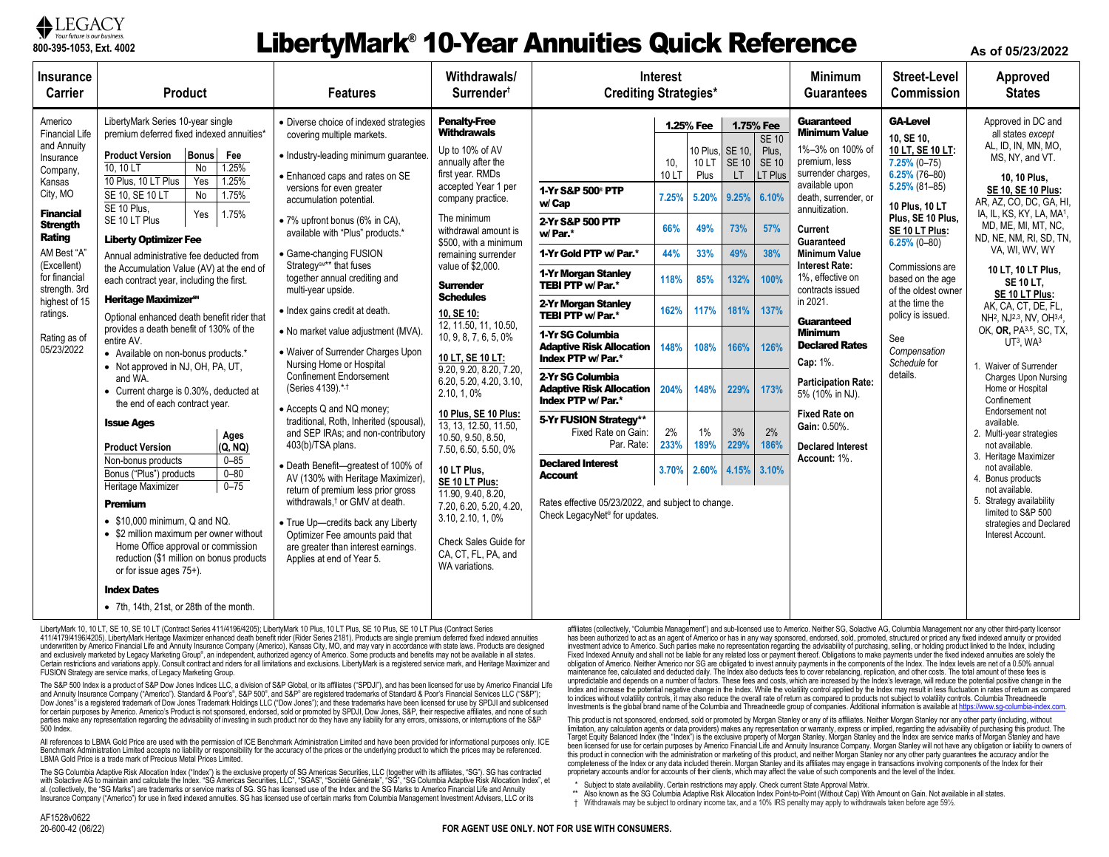

### **LibertyMark<sup>®</sup> 10-Year Annuities Quick Reference As of 05/23/2022 As of 05/23/2022**

| Insurance<br>Carrier                                                                                                                                                                           | Product                                                                                                                                                                                                                                                                                                                                                                                                                                                                                                                                                                                                                     | <b>Features</b>                                                                                                                                                                                                                                                                                                                                                                                                                                                                                                                                                                                                                                                                                                                                                                                                                                                                                                                                                                                                | Withdrawals/<br>Surrender <sup>t</sup>                                                                                                                                                                                                                                                                                                                                                              | <b>Interest</b><br><b>Crediting Strategies*</b>                                                                                                                                                                                                                                                                                                                                                                    |                                             |                                                                      |                                                                          |                                                                                 | <b>Minimum</b><br><b>Guarantees</b>                                                                                                                                                                                                                     | <b>Street-Level</b><br><b>Commission</b>                                                                                                                                                                                        | Approved<br><b>States</b>                                                                                                                                                                                                                                                                                                                                                                                                                                                                                      |
|------------------------------------------------------------------------------------------------------------------------------------------------------------------------------------------------|-----------------------------------------------------------------------------------------------------------------------------------------------------------------------------------------------------------------------------------------------------------------------------------------------------------------------------------------------------------------------------------------------------------------------------------------------------------------------------------------------------------------------------------------------------------------------------------------------------------------------------|----------------------------------------------------------------------------------------------------------------------------------------------------------------------------------------------------------------------------------------------------------------------------------------------------------------------------------------------------------------------------------------------------------------------------------------------------------------------------------------------------------------------------------------------------------------------------------------------------------------------------------------------------------------------------------------------------------------------------------------------------------------------------------------------------------------------------------------------------------------------------------------------------------------------------------------------------------------------------------------------------------------|-----------------------------------------------------------------------------------------------------------------------------------------------------------------------------------------------------------------------------------------------------------------------------------------------------------------------------------------------------------------------------------------------------|--------------------------------------------------------------------------------------------------------------------------------------------------------------------------------------------------------------------------------------------------------------------------------------------------------------------------------------------------------------------------------------------------------------------|---------------------------------------------|----------------------------------------------------------------------|--------------------------------------------------------------------------|---------------------------------------------------------------------------------|---------------------------------------------------------------------------------------------------------------------------------------------------------------------------------------------------------------------------------------------------------|---------------------------------------------------------------------------------------------------------------------------------------------------------------------------------------------------------------------------------|----------------------------------------------------------------------------------------------------------------------------------------------------------------------------------------------------------------------------------------------------------------------------------------------------------------------------------------------------------------------------------------------------------------------------------------------------------------------------------------------------------------|
| Americo<br><b>Financial Life</b><br>and Annuity<br>Insurance<br>Company,<br>Kansas<br>City, MO<br><b>Financial</b><br><b>Strength</b><br>Rating<br>AM Best "A"<br>(Excellent)<br>for financial | LibertyMark Series 10-year single<br>premium deferred fixed indexed annuities*<br><b>Bonus</b><br><b>Product Version</b><br>Fee<br>.25%<br>10, 10 LT<br><b>No</b><br>.25%<br>10 Plus, 10 LT Plus<br>Yes<br>SE 10, SE 10 LT<br>1.75%<br>No<br>SE 10 Plus.<br>1.75%<br>Yes<br>SE 10 LT Plus<br><b>Liberty Optimizer Fee</b><br>Annual administrative fee deducted from<br>the Accumulation Value (AV) at the end of<br>each contract year, including the first.                                                                                                                                                               | • Diverse choice of indexed strategies<br>covering multiple markets.<br>· Industry-leading minimum quarantee.<br>• Enhanced caps and rates on SE<br>versions for even greater<br>accumulation potential.<br>• 7% upfront bonus (6% in CA).<br>available with "Plus" products.*<br>• Game-changing FUSION<br>Strategy <sup>SM**</sup> that fuses<br>together annual crediting and<br>multi-year upside.<br>• Index gains credit at death.<br>• No market value adjustment (MVA).<br>• Waiver of Surrender Charges Upon<br>Nursing Home or Hospital<br><b>Confinement Endorsement</b><br>(Series 4139).*.1<br>• Accepts Q and NQ money;<br>traditional, Roth, Inherited (spousal).<br>and SEP IRAs; and non-contributory<br>403(b)/TSA plans.<br>· Death Benefit-greatest of 100% of<br>AV (130% with Heritage Maximizer),<br>return of premium less prior gross<br>withdrawals, <sup>†</sup> or GMV at death.<br>• True Up-credits back any Liberty<br>Optimizer Fee amounts paid that<br>Check Sales Guide for | <b>Penalty-Free</b><br><b>Withdrawals</b><br>Up to 10% of AV<br>annually after the<br>first year. RMDs<br>accepted Year 1 per<br>company practice.<br>The minimum<br>withdrawal amount is<br>\$500, with a minimum<br>remaining surrender<br>value of \$2,000.                                                                                                                                      | 1-Yr S&P 500° PTP<br>w/ Cap<br>2-Yr S&P 500 PTP<br>w/Par.*<br>1-Yr Gold PTP w/ Par.*<br>1-Yr Morgan Stanley<br>TEBI PTP w/ Par.*                                                                                                                                                                                                                                                                                   | 10.<br>10 LT<br>7.25%<br>66%<br>44%<br>118% | 1.25% Fee<br>10 Plus.<br>10 LT<br>Plus<br>5.20%<br>49%<br>33%<br>85% | 1.75% Fee<br>SE 10,<br>SE 10<br><b>LT</b><br>9.25%<br>73%<br>49%<br>132% | <b>SE 10</b><br>Plus.<br><b>SE 10</b><br>LT Plus<br>6.10%<br>57%<br>38%<br>100% | Guaranteed<br><b>Minimum Value</b><br>1%-3% on 100% of<br>premium, less<br>surrender charges,<br>available upon<br>death, surrender, or<br>annuitization.<br>Current<br>Guaranteed<br><b>Minimum Value</b><br><b>Interest Rate:</b><br>1%, effective on | <b>GA-Level</b><br>10. SE 10.<br>10 LT, SE 10 LT:<br>$7.25\%$ (0-75)<br>$6.25\%$ (76-80)<br>$5.25\%$ (81-85)<br>10 Plus, 10 LT<br>Plus, SE 10 Plus,<br>SE 10 LT Plus:<br>$6.25\%$ (0-80)<br>Commissions are<br>based on the age | Approved in DC and<br>all states except<br>AL. ID. IN. MN. MO.<br>MS, NY, and VT.<br>10, 10 Plus.<br>SE 10, SE 10 Plus:<br>AR, AZ, CO, DC, GA, HI,<br>IA, IL, KS, KY, LA, MA1,<br>MD, ME, MI, MT, NC,<br>ND, NE, NM, RI, SD, TN,<br>VA, WI, WV, WY<br>10 LT, 10 LT Plus,<br><b>SE 10 LT.</b>                                                                                                                                                                                                                   |
| strength. 3rd<br>highest of 15<br>ratings.<br>Rating as of<br>05/23/2022                                                                                                                       | <b>Heritage Maximizer<sup>s™</sup></b><br>Optional enhanced death benefit rider that<br>provides a death benefit of 130% of the<br>entire AV.<br>• Available on non-bonus products.*<br>• Not approved in NJ, OH, PA, UT,<br>and WA.<br>• Current charge is 0.30%, deducted at<br>the end of each contract year.<br><b>Issue Ages</b><br>Ages<br>(Q, NQ)<br>Product Version<br>$0 - 85$<br>Non-bonus products<br>$0 - 80$<br>Bonus ("Plus") products<br>$0 - 75$<br>Heritage Maximizer<br>Premium<br>$\bullet$ \$10,000 minimum. Q and NQ.<br>• \$2 million maximum per owner without<br>Home Office approval or commission |                                                                                                                                                                                                                                                                                                                                                                                                                                                                                                                                                                                                                                                                                                                                                                                                                                                                                                                                                                                                                | <b>Surrender</b><br><b>Schedules</b><br>10, SE 10:<br>12, 11.50, 11, 10.50,<br>10, 9, 8, 7, 6, 5, 0%<br>10 LT, SE 10 LT:<br>9.20, 9.20, 8.20, 7.20,<br>6.20, 5.20, 4.20, 3.10,<br>2.10, 1, 0%<br>10 Plus, SE 10 Plus:<br>13. 13. 12.50. 11.50.<br>10.50, 9.50, 8.50.<br>7.50, 6.50, 5.50, 0%<br>10 LT Plus.<br>SE 10 LT Plus:<br>11.90, 9.40, 8.20,<br>7.20, 6.20, 5.20, 4.20,<br>3.10, 2.10, 1, 0% | 2-Yr Morgan Stanley<br>TEBI PTP w/ Par.*<br>1-Yr SG Columbia<br><b>Adaptive Risk Allocation</b><br>Index PTP w/ Par.*<br>2-Yr SG Columbia<br><b>Adaptive Risk Allocation</b><br>Index PTP w/ Par.*<br>5-Yr FUSION Strategy**<br>Fixed Rate on Gain:<br>Par. Rate:<br><b>Declared Interest</b><br><b>Account</b><br>Rates effective 05/23/2022, and subject to change.<br>Check LegacyNet <sup>®</sup> for updates. | 162%<br>148%<br>204%<br>2%<br>233%<br>3.70% | 117%<br>108%<br>148%<br>1%<br>189%<br>2.60%                          | 181%<br>166%<br>229%<br>3%<br>229%<br>4.15%                              | 137%<br>126%<br>173%<br>2%<br>186%<br>3.10%                                     | contracts issued<br>in 2021.<br><b>Guaranteed</b><br><b>Minimum</b><br><b>Declared Rates</b><br>Cap: 1%.<br><b>Participation Rate:</b><br>5% (10% in NJ).<br><b>Fixed Rate on</b><br>Gain: 0.50%.<br><b>Declared Interest</b><br>Account: 1%            | of the oldest owner<br>at the time the<br>policy is issued.<br>See<br>Compensation<br>Schedule for<br>details.                                                                                                                  | SE 10 LT Plus:<br>AK, CA, CT, DE, FL,<br>NH <sup>2</sup> , NJ <sup>2,3</sup> , NV, OH <sup>3,4</sup> ,<br>OK, OR, PA3,5, SC, TX,<br>$UT3$ , WA $3$<br>Waiver of Surrender<br><b>Charges Upon Nursing</b><br>Home or Hospital<br>Confinement<br>Endorsement not<br>available.<br>2. Multi-year strategies<br>not available.<br>3. Heritage Maximizer<br>not available.<br>4. Bonus products<br>not available.<br>5. Strategy availability<br>limited to S&P 500<br>strategies and Declared<br>Interest Account. |
|                                                                                                                                                                                                | reduction (\$1 million on bonus products<br>or for issue ages 75+).<br><b>Index Dates</b><br>• 7th, 14th, 21st, or 28th of the month.                                                                                                                                                                                                                                                                                                                                                                                                                                                                                       | Applies at end of Year 5.                                                                                                                                                                                                                                                                                                                                                                                                                                                                                                                                                                                                                                                                                                                                                                                                                                                                                                                                                                                      | CA, CT, FL, PA, and<br>WA variations.                                                                                                                                                                                                                                                                                                                                                               |                                                                                                                                                                                                                                                                                                                                                                                                                    |                                             |                                                                      |                                                                          |                                                                                 |                                                                                                                                                                                                                                                         |                                                                                                                                                                                                                                 |                                                                                                                                                                                                                                                                                                                                                                                                                                                                                                                |

LibertyMark 10, 10 LT, SE 10, SE 10 LT (Contract Series 411/4196/4205); LibertyMark 10 Plus, 10 LT Plus, SE 10 Plus, SE 10 LT Plus (Contract Series 411/4179/4196/4205). LibertyMark Heritage Maximizer enhanced death benefit rider (Rider Series 2181). Products are single premium deferred fixed indexed annuities underwritten by Americo Financial Life and Annuity Insurance Company (Americo), Kansas City, MO, and may vary in accordance with state laws. Products are designed and exclusively marketed by Legacy Marketing Group®, an independent, authorized agency of Americo. Some products and benefits may not be available in all states. Certain restrictions and variations apply. Consult contract and riders for all limitations and exclusions. LibertyMark is a registered service mark, and Heritage Maximizer and FUSION Strategy are service marks, of Legacy Marketing Group.

The S&P 500 Index is a product of S&P Dow Jones Indices LLC, a division of S&P Global, or its affiliates ("SPDJI"), and has been licensed for use by Americo Financial Life and Annuity Insurance Company ("Americo"). Standard & Poor's®, S&P 500®, and S&P® are registered trademarks of Standard & Poor's Financial Services LLC ("S&P"); Dow Jones® is a registered trademark of Dow Jones Trademark Holdings LLC ("Dow Jones"); and these trademarks have been licensed for use by SPDJI and sublicensed for certain purposes by Americo. Americo's Product is not sponsored, endorsed, sold or promoted by SPDJI, Dow Jones, S&P, their respective affiliates, and none of such parties make any representation regarding the advisability of investing in such product nor do they have any liability for any errors, omissions, or interruptions of the S&P 500 Index.

All references to LBMA Gold Price are used with the permission of ICE Benchmark Administration Limited and have been provided for informational purposes only. ICE Benchmark Administration Limited accepts no liability or responsibility for the accuracy of the prices or the underlying product to which the prices may be referenced. LBMA Gold Price is a trade mark of Precious Metal Prices Limited.

The SG Columbia Adaptive Risk Allocation Index ("Index") is the exclusive property of SG Americas Securities, LLC (together with its affiliates, "SG"). SG has contracted<br>with Solactive AG to maintain and calculate the Inde al. (collectively, the "SG Marks") are trademarks or service marks of SG. SG has licensed use of the Index and the SG Marks to Americo Financial Life and Annuity Insurance Company ("Americo") for use in fixed indexed annuities. SG has licensed use of certain marks from Columbia Management Investment Advisers, LLC or its

affiliates (collectively, "Columbia Management") and sub-licensed use to Americo. Neither SG, Solactive AG, Columbia Management nor any other third-party licensor has been authorized to act as an agent of Americo or has in any way sponsored, endorsed, sold, promoted, structured or priced any fixed indexed annuity or provided investment advice to Americo. Such parties make no representation regarding the advisability of purchasing, selling, or holding product linked to the Index, including Fixed Indexed Annuity and shall not be liable for any related loss or payment thereof. Obligations to make payments under the fixed indexed annuities are solely the obligation of Americo. Neither Americo nor SG are obligated to invest annuity payments in the components of the Index. The Index levels are net of a 0.50% annual maintenance fee, calculated and deducted daily. The Index also deducts fees to cover rebalancing, replication, and other costs. The total amount of these fees is unpredictable and depends on a number of factors. These fees and costs, which are increased by the Index's leverage, will reduce the potential positive change in the Index and increase the potential negative change in the Index. While the volatility control applied by the Index may result in less fluctuation in rates of return as compared to indices without volatility controls, it may also reduce the overall rate of return as compared to products not subject to volatility controls. Columbia Threadneedle Investments is the global brand name of the Columbia and Threadneedle group of companies. Additional information is available at https://www.sg-columbia-index.c

This product is not sponsored, endorsed, sold or promoted by Morgan Stanley or any of its affiliates. Neither Morgan Stanley nor any other party (including, without limitation, any calculation agents or data providers) makes any representation or warranty, express or implied, regarding the advisability of purchasing this product. The Target Equity Balanced Index (the "Index") is the exclusive property of Morgan Stanley. Morgan Stanley and the Index are service marks of Morgan Stanley and have been licensed for use for certain purposes by Americo Financial Life and Annuity Insurance Company. Morgan Stanley will not have any obligation or liability to owners of this product in connection with the administration or marketing of this product, and neither Morgan Stanley nor any other party guarantees the accuracy and/or the completeness of the Index or any data included therein. Morgan Stanley and its affiliates may engage in transactions involving components of the Index for their proprietary accounts and/or for accounts of their clients, which may affect the value of such components and the level of the Index.

Subject to state availability. Certain restrictions may apply. Check current State Approval Matrix.

\*\* Also known as the SG Columbia Adaptive Risk Allocation Index Point-to-Point (Without Cap) With Amount on Gain. Not available in all states. † Withdrawals may be subject to ordinary income tax, and a 10% IRS penalty may apply to withdrawals taken before age 59½.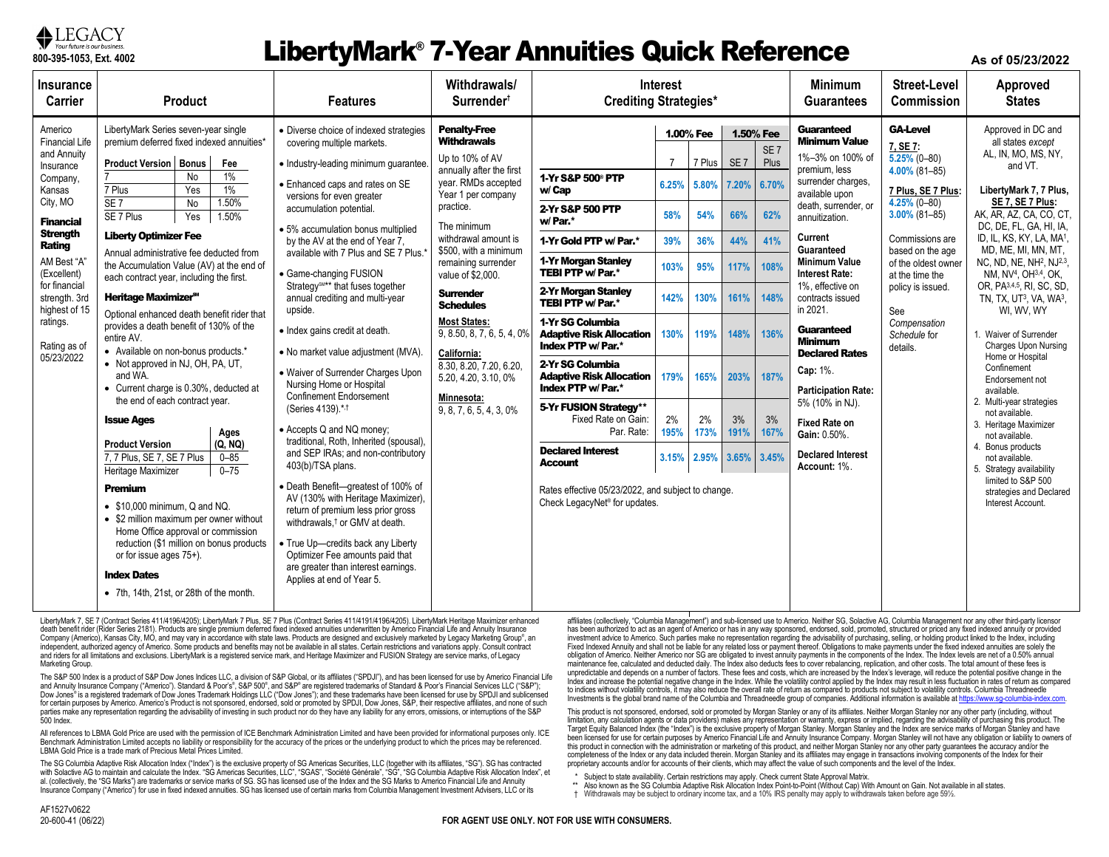

## **The Continent Supposes Ext. 4002 As of 05/23/2022 Annuities Quick Reference As of 05/23/2022**

| <b>Insurance</b><br><b>Carrier</b>                                                                                                                                                                                                                                         | <b>Product</b>                                                                                                                                                                                                                                                                                                                                                                                                                                                                                                                                                                                                                                                                                                                                                                                                                                                                                                                                                                                                                                                                                                                                               | <b>Features</b>                                                                                                                                                                                                                                                                                                                                                                                                                                                                                                                                                                                                                                                                                                                                                                                                                                                                                                                                                                                                                                                                               | Withdrawals/<br>Surrender <sup>t</sup>                                                                                                                                                                                                                                                                                                                                                                                                                                 | <b>Interest</b><br><b>Crediting Strategies*</b>                                                                                                                                                                                                                                                                                                                                                                                                                                                                                                             |                                                                                  |                                                                                                              |                                                                                                   | <b>Minimum</b><br><b>Guarantees</b>                                                          | <b>Street-Level</b><br>Commission                                                                                                                                                                                                                                                                                                                                                                                                                                                                               | Approved<br><b>States</b>                                                                                                                                                                                                                                                                |                                                                                                                                                                                                                                                                                                                                                                                                                                                                                                                                                                                                                                                                                                                                                                                                                 |
|----------------------------------------------------------------------------------------------------------------------------------------------------------------------------------------------------------------------------------------------------------------------------|--------------------------------------------------------------------------------------------------------------------------------------------------------------------------------------------------------------------------------------------------------------------------------------------------------------------------------------------------------------------------------------------------------------------------------------------------------------------------------------------------------------------------------------------------------------------------------------------------------------------------------------------------------------------------------------------------------------------------------------------------------------------------------------------------------------------------------------------------------------------------------------------------------------------------------------------------------------------------------------------------------------------------------------------------------------------------------------------------------------------------------------------------------------|-----------------------------------------------------------------------------------------------------------------------------------------------------------------------------------------------------------------------------------------------------------------------------------------------------------------------------------------------------------------------------------------------------------------------------------------------------------------------------------------------------------------------------------------------------------------------------------------------------------------------------------------------------------------------------------------------------------------------------------------------------------------------------------------------------------------------------------------------------------------------------------------------------------------------------------------------------------------------------------------------------------------------------------------------------------------------------------------------|------------------------------------------------------------------------------------------------------------------------------------------------------------------------------------------------------------------------------------------------------------------------------------------------------------------------------------------------------------------------------------------------------------------------------------------------------------------------|-------------------------------------------------------------------------------------------------------------------------------------------------------------------------------------------------------------------------------------------------------------------------------------------------------------------------------------------------------------------------------------------------------------------------------------------------------------------------------------------------------------------------------------------------------------|----------------------------------------------------------------------------------|--------------------------------------------------------------------------------------------------------------|---------------------------------------------------------------------------------------------------|----------------------------------------------------------------------------------------------|-----------------------------------------------------------------------------------------------------------------------------------------------------------------------------------------------------------------------------------------------------------------------------------------------------------------------------------------------------------------------------------------------------------------------------------------------------------------------------------------------------------------|------------------------------------------------------------------------------------------------------------------------------------------------------------------------------------------------------------------------------------------------------------------------------------------|-----------------------------------------------------------------------------------------------------------------------------------------------------------------------------------------------------------------------------------------------------------------------------------------------------------------------------------------------------------------------------------------------------------------------------------------------------------------------------------------------------------------------------------------------------------------------------------------------------------------------------------------------------------------------------------------------------------------------------------------------------------------------------------------------------------------|
| Americo<br><b>Financial Life</b><br>and Annuity<br>Insurance<br>Company,<br>Kansas<br>City, MO<br><b>Financial</b><br><b>Strength</b><br>Rating<br>AM Best "A"<br>(Excellent)<br>for financial<br>strength. 3rd<br>highest of 15<br>ratings.<br>Rating as of<br>05/23/2022 | LibertyMark Series seven-year single<br>premium deferred fixed indexed annuities*<br><b>Product Version   Bonus</b><br>Fee<br>$1\%$<br>No<br>1%<br>Yes<br>7 Plus<br>$\overline{\text{SE }7}$<br>1.50%<br>No<br>1.50%<br>SE 7 Plus<br>Yes<br><b>Liberty Optimizer Fee</b><br>Annual administrative fee deducted from<br>the Accumulation Value (AV) at the end of<br>each contract year, including the first.<br>Heritage Maximizer <sup>s</sup><br>Optional enhanced death benefit rider that<br>provides a death benefit of 130% of the<br>entire AV.<br>• Available on non-bonus products.*<br>• Not approved in NJ, OH, PA, UT,<br>and WA.<br>• Current charge is 0.30%, deducted at<br>the end of each contract year.<br><b>Issue Ages</b><br>Ages<br>(Q, NQ)<br><b>Product Version</b><br>7, 7 Plus, SE 7, SE 7 Plus<br>$0 - 85$<br>$0 - 75$<br>Heritage Maximizer<br><b>Premium</b><br>$\bullet$ \$10,000 minimum, Q and NQ.<br>• \$2 million maximum per owner without<br>Home Office approval or commission<br>reduction (\$1 million on bonus products<br>or for issue ages 75+).<br><b>Index Dates</b><br>• 7th, 14th, 21st, or 28th of the month. | • Diverse choice of indexed strategies<br>covering multiple markets.<br>· Industry-leading minimum quarantee.<br>• Enhanced caps and rates on SE<br>versions for even greater<br>accumulation potential.<br>· 5% accumulation bonus multiplied<br>by the AV at the end of Year 7.<br>available with 7 Plus and SE 7 Plus.<br>• Game-changing FUSION<br>Strategy <sup>SM**</sup> that fuses together<br>annual crediting and multi-year<br>upside.<br>• Index gains credit at death.<br>• No market value adjustment (MVA).<br>• Waiver of Surrender Charges Upon<br>Nursing Home or Hospital<br>Confinement Endorsement<br>(Series 4139).*.1<br>• Accepts Q and NQ money:<br>traditional, Roth, Inherited (spousal),<br>and SEP IRAs; and non-contributory<br>403(b)/TSA plans.<br>· Death Benefit-greatest of 100% of<br>AV (130% with Heritage Maximizer).<br>return of premium less prior gross<br>withdrawals. <sup>†</sup> or GMV at death.<br>• True Up-credits back any Liberty<br>Optimizer Fee amounts paid that<br>are greater than interest earnings.<br>Applies at end of Year 5. | <b>Penalty-Free</b><br><b>Withdrawals</b><br>Up to 10% of AV<br>annually after the first<br>year. RMDs accepted<br>Year 1 per company<br>practice.<br>The minimum<br>withdrawal amount is<br>\$500, with a minimum<br>remaining surrender<br>value of \$2,000.<br><b>Surrender</b><br><b>Schedules</b><br><b>Most States:</b><br>9, 8.50, 8, 7, 6, 5, 4, 0%<br>California:<br>8.30, 8.20, 7.20, 6.20,<br>5.20, 4.20, 3.10, 0%<br>Minnesota:<br>9, 8, 7, 6, 5, 4, 3, 0% | 1-Yr S&P 500 <sup>®</sup> PTP<br>w/ Cap<br>2-Yr S&P 500 PTP<br>w/Par.*<br>1-Yr Gold PTP w/ Par.*<br>1-Yr Morgan Stanley<br>TEBI PTP w/ Par.*<br>2-Yr Morgan Stanley<br>TEBI PTP w/ Par.*<br>1-Yr SG Columbia<br><b>Adaptive Risk Allocation</b><br>Index PTP w/ Par.*<br>2-Yr SG Columbia<br><b>Adaptive Risk Allocation</b><br>Index PTP w/ Par.*<br>5-Yr FUSION Strategy**<br>Fixed Rate on Gain:<br>Par. Rate:<br><b>Declared Interest</b><br>Account<br>Rates effective 05/23/2022, and subject to change.<br>Check LegacyNet <sup>®</sup> for updates. | -7<br>6.25%<br>58%<br>39%<br>103%<br>142%<br>130%<br>179%<br>2%<br>195%<br>3.15% | 1.00% Fee<br>7 Plus<br>5.80%<br>54%<br>36%<br>95%<br>130%<br>119%<br>165%<br>2%<br>173%<br>2.95% 3.65% 3.45% | 1.50% Fee<br>SE <sub>7</sub><br>7.20%<br>66%<br>44%<br>117%<br>161%<br>148%<br>203%<br>3%<br>191% | SE <sub>7</sub><br>Plus<br>6.70%<br>62%<br>41%<br>108%<br>148%<br>136%<br>187%<br>3%<br>167% | <b>Guaranteed</b><br><b>Minimum Value</b><br>1%-3% on 100% of<br>premium, less<br>surrender charges,<br>available upon<br>death, surrender, or<br>annuitization.<br>Current<br>Guaranteed<br><b>Minimum Value</b><br><b>Interest Rate:</b><br>1%, effective on<br>contracts issued<br>in 2021.<br><b>Guaranteed</b><br><b>Minimum</b><br><b>Declared Rates</b><br>Cap: 1%.<br><b>Participation Rate:</b><br>5% (10% in NJ).<br><b>Fixed Rate on</b><br>Gain: 0.50%.<br><b>Declared Interest</b><br>Account: 1%. | <b>GA-Level</b><br>7, SE 7:<br>$5.25\%$ (0-80)<br>$4.00\%$ (81-85)<br>7 Plus, SE 7 Plus:<br>$4.25\%$ (0-80)<br>$3.00\%$ (81-85)<br>Commissions are<br>based on the age<br>of the oldest owner<br>at the time the<br>policy is issued.<br>See<br>Compensation<br>Schedule for<br>details. | Approved in DC and<br>all states except<br>AL, IN, MO, MS, NY,<br>and VT.<br>LibertyMark 7, 7 Plus,<br>SE 7, SE 7 Plus:<br>AK, AR, AZ, CA, CO, CT,<br>DC, DE, FL, GA, HI, IA,<br>ID, IL, KS, KY, LA, MA <sup>1</sup> ,<br>MD, ME, MI, MN, MT,<br>NC, ND, NE, NH <sup>2</sup> , NJ <sup>2,3</sup> ,<br>NM, NV <sup>4</sup> , OH <sup>3,4</sup> , OK,<br>OR, PA3,4,5, RI, SC, SD,<br>TN, TX, UT <sup>3</sup> , VA, WA <sup>3</sup> ,<br>WI, WV, WY<br>1. Waiver of Surrender<br><b>Charges Upon Nursing</b><br>Home or Hospital<br>Confinement<br>Endorsement not<br>available.<br>2. Multi-year strategies<br>not available.<br>3. Heritage Maximizer<br>not available.<br>4. Bonus products<br>not available.<br>5. Strategy availability<br>limited to S&P 500<br>strategies and Declared<br>Interest Account. |
|                                                                                                                                                                                                                                                                            |                                                                                                                                                                                                                                                                                                                                                                                                                                                                                                                                                                                                                                                                                                                                                                                                                                                                                                                                                                                                                                                                                                                                                              |                                                                                                                                                                                                                                                                                                                                                                                                                                                                                                                                                                                                                                                                                                                                                                                                                                                                                                                                                                                                                                                                                               |                                                                                                                                                                                                                                                                                                                                                                                                                                                                        |                                                                                                                                                                                                                                                                                                                                                                                                                                                                                                                                                             |                                                                                  |                                                                                                              |                                                                                                   |                                                                                              |                                                                                                                                                                                                                                                                                                                                                                                                                                                                                                                 |                                                                                                                                                                                                                                                                                          |                                                                                                                                                                                                                                                                                                                                                                                                                                                                                                                                                                                                                                                                                                                                                                                                                 |

LibertyMark 7, SE 7 (Contract Series 411/4196/4205); LibertyMark 7 Plus, SE 7 Plus (Contract Series 411/4191/4196/4205). LibertyMark Heritage Maximizer enhanced death benefit rider (Rider Series 2181). Products are single premium deferred fixed indexed annuities underwritten by Americo Financial Life and Annuity Insurance Company (Americo), Kansas City, MO, and may vary in accordance with state laws. Products are designed and exclusively marketed by Legacy Marketing Group®, an independent, authorized agency of Americo. Some products and benefits may not be available in all states. Certain restrictions and variations apply. Consult contract<br>and riders for all limitations and exclusions. LibertyMa Marketing Group.

The S&P 500 Index is a product of S&P Dow Jones Indices LLC, a division of S&P Global, or its affiliates ("SPDJI"), and has been licensed for use by Americo Financial Life and Annuity Insurance Company ("Americo"). Standard & Poor's®, S&P 500®, and S&P® are registered trademarks of Standard & Poor's Financial Services LLC ("S&P"); Dow Jones® is a registered trademark of Dow Jones Trademark Holdings LLC ("Dow Jones"); and these trademarks have been licensed for use by SPDJI and sublicensed for certain purposes by Americo. Americo's Product is not sponsored, endorsed, sold or promoted by SPDJI, Dow Jones, S&P, their respective affiliates, and none of such parties make any representation regarding the advisability of investing in such product nor do they have any liability for any errors, omissions, or interruptions of the S&P 500 Index.

All references to LBMA Gold Price are used with the permission of ICE Benchmark Administration Limited and have been provided for informational purposes only. ICE Benchmark Administration Limited accepts no liability or responsibility for the accuracy of the prices or the underlying product to which the prices may be referenced. LBMA Gold Price is a trade mark of Precious Metal Prices Limited.

The SG Columbia Adaptive Risk Allocation Index ("Index") is the exclusive property of SG Americas Securities, LLC (together with its affiliates, "SG"). SG has contracted with Solactive AG to maintain and calculate the Index. "SG Americas Securities, LLC", "SGAS", "Société Générale", "SG", "SG Columbia Adaptive Risk Allocation Index", et al. (collectively, the "SG Marks") are trademarks or service marks of SG. SG has licensed use of the Index and the SG Marks to Americo Financial Life and Annuity Insurance Company ("Americo") for use in fixed indexed annuities. SG has licensed use of certain marks from Columbia Management Investment Advisers, LLC or its

affiliates (collectively, "Columbia Management") and sub-licensed use to Americo. Neither SG, Solactive AG, Columbia Management nor any other third-party licensor has been authorized to act as an agent of Americo or has in any way sponsored, endorsed, sold, promoted, structured or priced any fixed indexed annuity or provided investment advice to Americo. Such parties make no representation regarding the advisability of purchasing, selling, or holding product linked to the Index, including Fixed Indexed Annuity and shall not be liable for any related loss or payment thereof. Obligations to make payments under the fixed indexed annuities are solely the obligation of Americo. Neither Americo nor SG are obligated to invest annuity payments in the components of the Index. The Index levels are net of a 0.50% annual maintenance fee, calculated and deducted daily. The Index also deducts fees to cover rebalancing, replication, and other costs. The total amount of these fees is unpredictable and depends on a number of factors. These fees and costs, which are increased by the Index's leverage, will reduce the potential positive change in the Index and increase the potential negative change in the Index. While the volatility control applied by the Index may result in less fluctuation in rates of return as compared to indices without volatility controls, it may also reduce the overall rate of return as compared to products not subject to volatility controls. Columbia Threadneedle Investments is the global brand name of the Columbia and Threadneedle group of companies. Additional information is available a[t https://www.sg-columbia-index.com.](https://www.sg-columbia-index.com/)

This product is not sponsored, endorsed, sold or promoted by Morgan Stanley or any of its affiliates. Neither Morgan Stanley nor any other party (including, without limitation, any calculation agents or data providers) makes any representation or warranty, express or implied, regarding the advisability of purchasing this product. The<br>Target Equity Balanced Index (the "Index") is the e been licensed for use for certain purposes by Americo Financial Life and Annuity Insurance Company. Morgan Stanley will not have any obligation or liability to owners of this product in connection with the administration or marketing of this product, and neither Morgan Stanley nor any other party guarantees the accuracy and/or the completeness of the Index or any data included therein. Morgan Stanley and its affiliates may engage in transactions involving components of the Index for their proprietary accounts and/or for accounts of their clients, which may affect the value of such components and the level of the Index.

\* Subject to state availability. Certain restrictions may apply. Check current State Approval Matrix.

\*\* Also known as the SG Columbia Adaptive Risk Allocation Index Point-to-Point (Without Cap) With Amount on Gain. Not available in all states.

† Withdrawals may be subject to ordinary income tax, and a 10% IRS penalty may apply to withdrawals taken before age 59½.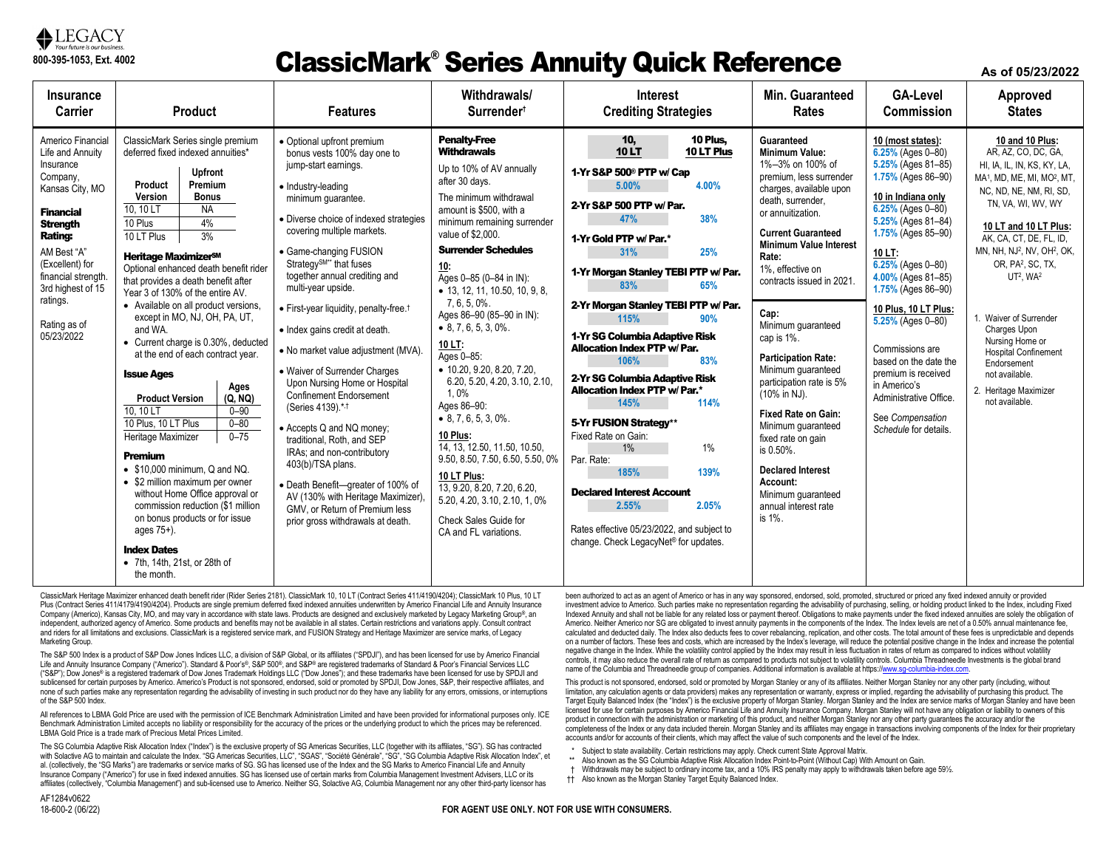

#### ClassicMark® Series Annuity Quick Reference

**As of 05/23/2022**

| Insurance<br>Carrier                                                                                                                                                                                                                                               | <b>Product</b>                                                                                                                                                                                                                                                                                                                                                                                                                                                                                                                                                                                                                                                                                                                                                                                                                                                                                                                                                                             | <b>Features</b>                                                                                                                                                                                                                                                                                                                                                                                                                                                                                                                                                                                                                                                                                                                                                                                                                                 | Withdrawals/<br>Surrender <sup>+</sup>                                                                                                                                                                                                                                                                                                                                                                                                                                                                                                                                                                                                                                                                                                   | <b>Interest</b><br><b>Crediting Strategies</b>                                                                                                                                                                                                                                                                                                                                                                                                                                                                                                                                                                                                                                                                                                         | Min. Guaranteed<br><b>Rates</b>                                                                                                                                                                                                                                                                                                                                                                                                                                                                                                                                                                                    | <b>GA-Level</b><br><b>Commission</b>                                                                                                                                                                                                                                                                                                                                                                                                                                  | Approved<br><b>States</b>                                                                                                                                                                                                                                                                                                                                                                                                                                                                                                              |
|--------------------------------------------------------------------------------------------------------------------------------------------------------------------------------------------------------------------------------------------------------------------|--------------------------------------------------------------------------------------------------------------------------------------------------------------------------------------------------------------------------------------------------------------------------------------------------------------------------------------------------------------------------------------------------------------------------------------------------------------------------------------------------------------------------------------------------------------------------------------------------------------------------------------------------------------------------------------------------------------------------------------------------------------------------------------------------------------------------------------------------------------------------------------------------------------------------------------------------------------------------------------------|-------------------------------------------------------------------------------------------------------------------------------------------------------------------------------------------------------------------------------------------------------------------------------------------------------------------------------------------------------------------------------------------------------------------------------------------------------------------------------------------------------------------------------------------------------------------------------------------------------------------------------------------------------------------------------------------------------------------------------------------------------------------------------------------------------------------------------------------------|------------------------------------------------------------------------------------------------------------------------------------------------------------------------------------------------------------------------------------------------------------------------------------------------------------------------------------------------------------------------------------------------------------------------------------------------------------------------------------------------------------------------------------------------------------------------------------------------------------------------------------------------------------------------------------------------------------------------------------------|--------------------------------------------------------------------------------------------------------------------------------------------------------------------------------------------------------------------------------------------------------------------------------------------------------------------------------------------------------------------------------------------------------------------------------------------------------------------------------------------------------------------------------------------------------------------------------------------------------------------------------------------------------------------------------------------------------------------------------------------------------|--------------------------------------------------------------------------------------------------------------------------------------------------------------------------------------------------------------------------------------------------------------------------------------------------------------------------------------------------------------------------------------------------------------------------------------------------------------------------------------------------------------------------------------------------------------------------------------------------------------------|-----------------------------------------------------------------------------------------------------------------------------------------------------------------------------------------------------------------------------------------------------------------------------------------------------------------------------------------------------------------------------------------------------------------------------------------------------------------------|----------------------------------------------------------------------------------------------------------------------------------------------------------------------------------------------------------------------------------------------------------------------------------------------------------------------------------------------------------------------------------------------------------------------------------------------------------------------------------------------------------------------------------------|
| Americo Financial<br>Life and Annuity<br>Insurance<br>Company,<br>Kansas City, MO<br><b>Financial</b><br><b>Strength</b><br><b>Rating:</b><br>AM Best "A"<br>(Excellent) for<br>financial strength.<br>3rd highest of 15<br>ratings.<br>Rating as of<br>05/23/2022 | ClassicMark Series single premium<br>deferred fixed indexed annuities*<br><b>Upfront</b><br>Premium<br>Product<br>Version<br><b>Bonus</b><br><b>NA</b><br>10, 10 LT<br>10 Plus<br>4%<br>3%<br>10 LT Plus<br>Heritage Maximizer <sup>sM</sup><br>Optional enhanced death benefit rider<br>that provides a death benefit after<br>Year 3 of 130% of the entire AV.<br>• Available on all product versions.<br>except in MO, NJ, OH, PA, UT,<br>and WA.<br>• Current charge is 0.30%, deducted<br>at the end of each contract year.<br><b>Issue Ages</b><br>Ages<br><b>Product Version</b><br>(Q, NQ)<br>10.10 LT<br>$0 - 90$<br>10 Plus, 10 LT Plus<br>$0 - 80$<br>$0 - 75$<br>Heritage Maximizer<br><b>Premium</b><br>$\bullet$ \$10,000 minimum. Q and NQ.<br>• \$2 million maximum per owner<br>without Home Office approval or<br>commission reduction (\$1 million<br>on bonus products or for issue<br>ages 75+).<br><b>Index Dates</b><br>• 7th, 14th, 21st, or 28th of<br>the month. | • Optional upfront premium<br>bonus vests 100% day one to<br>jump-start earnings.<br>• Industry-leading<br>minimum quarantee.<br>• Diverse choice of indexed strategies<br>covering multiple markets.<br>• Game-changing FUSION<br>Strategy <sup>SM**</sup> that fuses<br>together annual crediting and<br>multi-year upside.<br>· First-year liquidity, penalty-free. <sup>†</sup><br>• Index gains credit at death.<br>• No market value adjustment (MVA).<br>• Waiver of Surrender Charges<br>Upon Nursing Home or Hospital<br>Confinement Endorsement<br>(Series 4139).*.1<br>• Accepts Q and NQ money;<br>traditional. Roth. and SEP<br>IRAs; and non-contributory<br>403(b)/TSA plans.<br>• Death Benefit-qreater of 100% of<br>AV (130% with Heritage Maximizer).<br>GMV, or Return of Premium less<br>prior gross withdrawals at death. | <b>Penalty-Free</b><br>Withdrawals<br>Up to 10% of AV annually<br>after 30 days.<br>The minimum withdrawal<br>amount is \$500, with a<br>minimum remaining surrender<br>value of \$2,000.<br><b>Surrender Schedules</b><br>10:<br>Ages 0-85 (0-84 in IN):<br>• 13, 12, 11, 10.50, 10, 9, 8,<br>7.6.5.0%.<br>Ages 86-90 (85-90 in IN):<br>$\bullet$ 8, 7, 6, 5, 3, 0%.<br>10 LT:<br>Ages 0-85:<br>$\bullet$ 10.20, 9.20, 8.20, 7.20,<br>6.20, 5.20, 4.20, 3.10, 2.10,<br>1.0%<br>Ages 86-90:<br>$\bullet$ 8, 7, 6, 5, 3, 0%.<br>10 Plus:<br>14, 13, 12.50, 11.50, 10.50,<br>9.50, 8.50, 7.50, 6.50, 5.50, 0%<br>10 LT Plus:<br>13.9.20.8.20.7.20.6.20.<br>5.20, 4.20, 3.10, 2.10, 1, 0%<br>Check Sales Guide for<br>CA and FL variations. | 10 <sub>1</sub><br>10 Plus.<br><b>10LT</b><br>10 LT Plus<br>1-Yr S&P 500 <sup>®</sup> PTP w/ Cap<br>5.00%<br>4.00%<br>2-Yr S&P 500 PTP w/ Par.<br>38%<br>47%<br>1-Yr Gold PTP w/ Par.*<br>25%<br>31%<br>1-Yr Morgan Stanley TEBI PTP w/ Par.<br>83%<br>65%<br>2-Yr Morgan Stanley TEBI PTP w/ Par.<br>115%<br>90%<br>1-Yr SG Columbia Adaptive Risk<br><b>Allocation Index PTP w/Par.</b><br>106%<br>83%<br>2-Yr SG Columbia Adaptive Risk<br><b>Allocation Index PTP w/ Par.*</b><br>145%<br>114%<br>5-Yr FUSION Strategy**<br>Fixed Rate on Gain:<br>1%<br>1%<br>Par. Rate:<br>139%<br>185%<br><b>Declared Interest Account</b><br>2.55%<br>2.05%<br>Rates effective 05/23/2022, and subject to<br>change. Check LegacyNet <sup>®</sup> for updates. | Guaranteed<br><b>Minimum Value:</b><br>1%-3% on 100% of<br>premium. less surrender<br>charges, available upon<br>death. surrender.<br>or annuitization.<br><b>Current Guaranteed</b><br><b>Minimum Value Interest</b><br>Rate:<br>1%, effective on<br>contracts issued in 2021.<br>Cap:<br>Minimum quaranteed<br>cap is 1%.<br><b>Participation Rate:</b><br>Minimum guaranteed<br>participation rate is 5%<br>(10% in NJ).<br><b>Fixed Rate on Gain:</b><br>Minimum quaranteed<br>fixed rate on gain<br>is 0.50%.<br><b>Declared Interest</b><br>Account:<br>Minimum quaranteed<br>annual interest rate<br>is 1%. | 10 (most states):<br>6.25% (Ages 0-80)<br>5.25% (Ages 81-85)<br>1.75% (Ages 86-90)<br>10 in Indiana only<br>$6.25\%$ (Ages 0-80)<br>5.25% (Ages 81-84)<br>1.75% (Ages 85-90)<br>10 LT:<br>$6.25%$ (Ages 0-80)<br>4.00% (Ages 81-85)<br>$1.75\%$ (Ages 86-90)<br>10 Plus, 10 LT Plus:<br>$5.25%$ (Ages 0-80)<br>Commissions are<br>based on the date the<br>premium is received<br>in Americo's<br>Administrative Office.<br>See Compensation<br>Schedule for details. | 10 and 10 Plus:<br>AR, AZ, CO, DC, GA,<br>HI, IA, IL, IN, KS, KY, LA,<br>MA <sup>1</sup> , MD, ME, MI, MO <sup>2</sup> , MT,<br>NC, ND, NE, NM, RI, SD,<br>TN, VA, WI, WV, WY<br>10 LT and 10 LT Plus:<br>AK, CA, CT, DE, FL, ID,<br>MN, NH, NJ <sup>2</sup> , NV, OH <sup>2</sup> , OK,<br>OR, PA <sup>2</sup> , SC, TX,<br>UT <sup>2</sup> , WA <sup>2</sup><br>1. Waiver of Surrender<br>Charges Upon<br>Nursing Home or<br><b>Hospital Confinement</b><br>Endorsement<br>not available.<br>2. Heritage Maximizer<br>not available. |

ClassicMark Heritage Maximizer enhanced death benefit rider (Rider Series 2181). ClassicMark 10, 10 LT (Contract Series 411/4190/4204); ClassicMark 10 Plus, 10 LT Plus (Contract Series 411/4179/4190/4204). Products are single premium deferred fixed indexed annuities underwritten by Americo Financial Life and Annuity Insurance Company (Americo), Kansas City, MO, and may vary in accordance with state laws. Products are designed and exclusively marketed by Legacy Marketing Group®, an independent, authorized agency of Americo. Some products and benefits may not be available in all states. Certain restrictions and variations apply. Consult contract and riders for all limitations and exclusions. ClassicMark is a registered service mark, and FUSION Strategy and Heritage Maximizer are service marks, of Legacy Marketing Group.

The S&P 500 Index is a product of S&P Dow Jones Indices LLC, a division of S&P Global, or its affiliates ("SPDJI"), and has been licensed for use by Americo Financial Life and Annuity Insurance Company ("Americo"). Standard & Poor's®, S&P 500®, and S&P® are registered trademarks of Standard & Poor's Financial Services LLC ("S&P"); Dow Jones® is a registered trademark of Dow Jones Trademark Holdings LLC ("Dow Jones"); and these trademarks have been licensed for use by SPDJI and sublicensed for certain purposes by Americo. Americo's Product is not sponsored, endorsed, sold or promoted by SPDJI, Dow Jones, S&P, their respective affiliates, and none of such parties make any representation regarding the advisability of investing in such product nor do they have any liability for any errors, omissions, or interruptions of the S&P 500 Index.

All references to LBMA Gold Price are used with the permission of ICE Benchmark Administration Limited and have been provided for informational purposes only. ICE Benchmark Administration Limited accepts no liability or responsibility for the accuracy of the prices or the underlying product to which the prices may be referenced. LBMA Gold Price is a trade mark of Precious Metal Prices Limited.

The SG Columbia Adaptive Risk Allocation Index ("Index") is the exclusive property of SG Americas Securities, LLC (together with its affiliates, "SG"). SG has contracted with Solactive AG to maintain and calculate the Index. "SG Americas Securities, LLC", "SGAS", "Société Générale", "SG", "SG Columbia Adaptive Risk Allocation Index", et al. (collectively, the "SG Marks") are trademarks or service marks of SG. SG has licensed use of the Index and the SG Marks to Americo Financial Life and Annuity Insurance Company ("Americo") for use in fixed indexed annuities. SG has licensed use of certain marks from Columbia Management Investment Advisers, LLC or its affiliates (collectively, "Columbia Management") and sub-licensed use to Americo. Neither SG, Solactive AG, Columbia Management nor any other third-party licensor has

been authorized to act as an agent of Americo or has in any way sponsored, endorsed, sold, promoted, structured or priced any fixed indexed annuity or provided investment advice to Americo. Such parties make no representation regarding the advisability of purchasing, selling, or holding product linked to the Index, including Fixed Indexed Annuity and shall not be liable for any related loss or payment thereof. Obligations to make payments under the fixed indexed annuities are solely the obligation of Americo. Neither Americo nor SG are obligated to invest annuity payments in the components of the Index. The Index levels are net of a 0.50% annual maintenance fee, calculated and deducted daily. The Index also deducts fees to cover rebalancing, replication, and other costs. The total amount of these fees is unpredictable and depends on a number of factors. These fees and costs, which are increased by the Index's leverage, will reduce the potential positive change in the Index and increase the potential negative change in the Index. While the volatility control applied by the Index may result in less fluctuation in rates of return as compared to indices without volatility controls, it may also reduce the overall rate of return as compared to products not subject to volatility controls. Columbia Threadneedle Investments is the global brand name of the Columbia and Threadneedle group of companies. Additional information is available at https://www.sg-columbia-index.com

This product is not sponsored, endorsed, sold or promoted by Morgan Stanley or any of its affiliates. Neither Morgan Stanley nor any other party (including, without limitation, any calculation agents or data providers) makes any representation or warranty, express or implied, regarding the advisability of purchasing this product. The Target Equity Balanced Index (the "Index") is the exclusive property of Morgan Stanley. Morgan Stanley and the Index are service marks of Morgan Stanley and have been licensed for use for certain purposes by Americo Financial Life and Annuity Insurance Company. Morgan Stanley will not have any obligation or liability to owners of this product in connection with the administration or marketing of this product, and neither Morgan Stanley nor any other party quarantees the accuracy and/or the completeness of the Index or any data included therein. Morgan Stanley and its affiliates may engage in transactions involving components of the Index for their proprietary accounts and/or for accounts of their clients, which may affect the value of such components and the level of the Index.

- \* Subject to state availability. Certain restrictions may apply. Check current State Approval Matrix.
- \*\* Also known as the SG Columbia Adaptive Risk Allocation Index Point-to-Point (Without Cap) With Amount on Gain.
- † Withdrawals may be subject to ordinary income tax, and a 10% IRS penalty may apply to withdrawals taken before age 59½.
- †† Also known as the Morgan Stanley Target Equity Balanced Index.